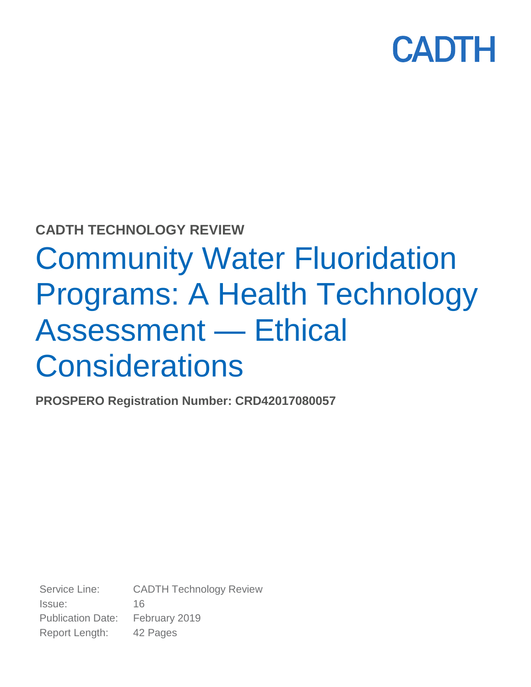

### **CADTH TECHNOLOGY REVIEW**

# Community Water Fluoridation Programs: A Health Technology Assessment — Ethical **Considerations**

**PROSPERO Registration Number: CRD42017080057**

Service Line: CADTH Technology Review Issue: 16 Publication Date: February 2019 Report Length: 42 Pages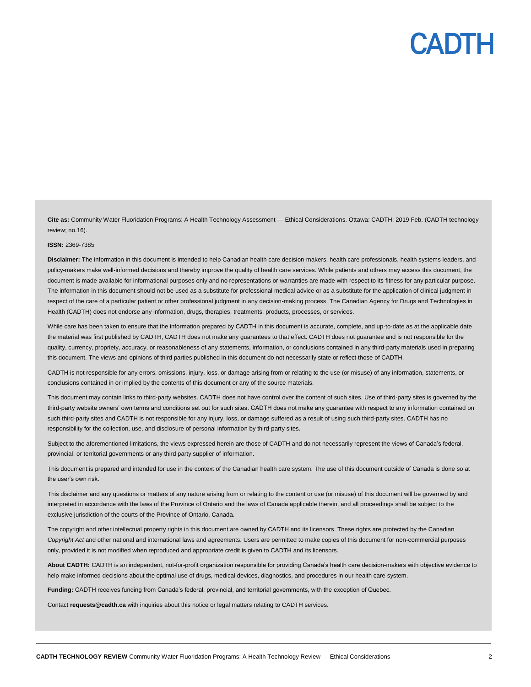**Cite as:** Community Water Fluoridation Programs: A Health Technology Assessment — Ethical Considerations. Ottawa: CADTH; 2019 Feb. (CADTH technology review; no.16).

#### **ISSN:** 2369-7385

**Disclaimer:** The information in this document is intended to help Canadian health care decision-makers, health care professionals, health systems leaders, and policy-makers make well-informed decisions and thereby improve the quality of health care services. While patients and others may access this document, the document is made available for informational purposes only and no representations or warranties are made with respect to its fitness for any particular purpose. The information in this document should not be used as a substitute for professional medical advice or as a substitute for the application of clinical judgment in respect of the care of a particular patient or other professional judgment in any decision-making process. The Canadian Agency for Drugs and Technologies in Health (CADTH) does not endorse any information, drugs, therapies, treatments, products, processes, or services.

While care has been taken to ensure that the information prepared by CADTH in this document is accurate, complete, and up-to-date as at the applicable date the material was first published by CADTH, CADTH does not make any guarantees to that effect. CADTH does not guarantee and is not responsible for the quality, currency, propriety, accuracy, or reasonableness of any statements, information, or conclusions contained in any third-party materials used in preparing this document. The views and opinions of third parties published in this document do not necessarily state or reflect those of CADTH.

CADTH is not responsible for any errors, omissions, injury, loss, or damage arising from or relating to the use (or misuse) of any information, statements, or conclusions contained in or implied by the contents of this document or any of the source materials.

This document may contain links to third-party websites. CADTH does not have control over the content of such sites. Use of third-party sites is governed by the third-party website owners' own terms and conditions set out for such sites. CADTH does not make any guarantee with respect to any information contained on such third-party sites and CADTH is not responsible for any injury, loss, or damage suffered as a result of using such third-party sites. CADTH has no responsibility for the collection, use, and disclosure of personal information by third-party sites.

Subject to the aforementioned limitations, the views expressed herein are those of CADTH and do not necessarily represent the views of Canada's federal, provincial, or territorial governments or any third party supplier of information.

This document is prepared and intended for use in the context of the Canadian health care system. The use of this document outside of Canada is done so at the user's own risk.

This disclaimer and any questions or matters of any nature arising from or relating to the content or use (or misuse) of this document will be governed by and interpreted in accordance with the laws of the Province of Ontario and the laws of Canada applicable therein, and all proceedings shall be subject to the exclusive jurisdiction of the courts of the Province of Ontario, Canada.

The copyright and other intellectual property rights in this document are owned by CADTH and its licensors. These rights are protected by the Canadian *Copyright Act* and other national and international laws and agreements. Users are permitted to make copies of this document for non-commercial purposes only, provided it is not modified when reproduced and appropriate credit is given to CADTH and its licensors.

**About CADTH:** CADTH is an independent, not-for-profit organization responsible for providing Canada's health care decision-makers with objective evidence to help make informed decisions about the optimal use of drugs, medical devices, diagnostics, and procedures in our health care system.

**Funding:** CADTH receives funding from Canada's federal, provincial, and territorial governments, with the exception of Quebec.

Contact **[requests@cadth.ca](mailto:requests@cadth.ca)** with inquiries about this notice or legal matters relating to CADTH services.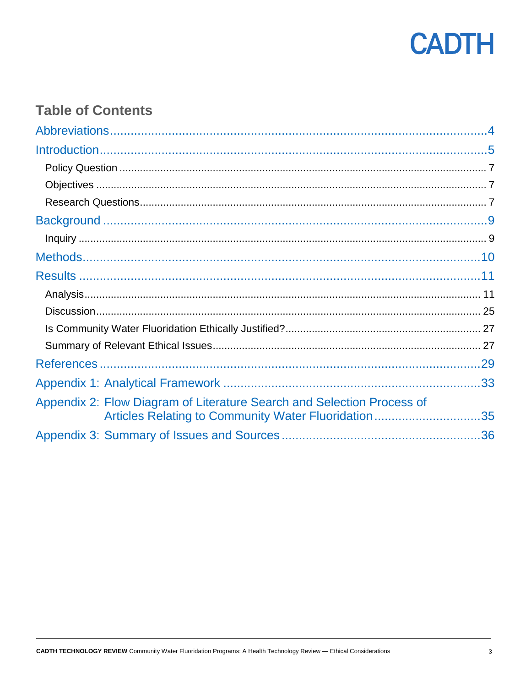

### **Table of Contents**

| Appendix 2: Flow Diagram of Literature Search and Selection Process of<br>Articles Relating to Community Water Fluoridation35 |  |
|-------------------------------------------------------------------------------------------------------------------------------|--|
|                                                                                                                               |  |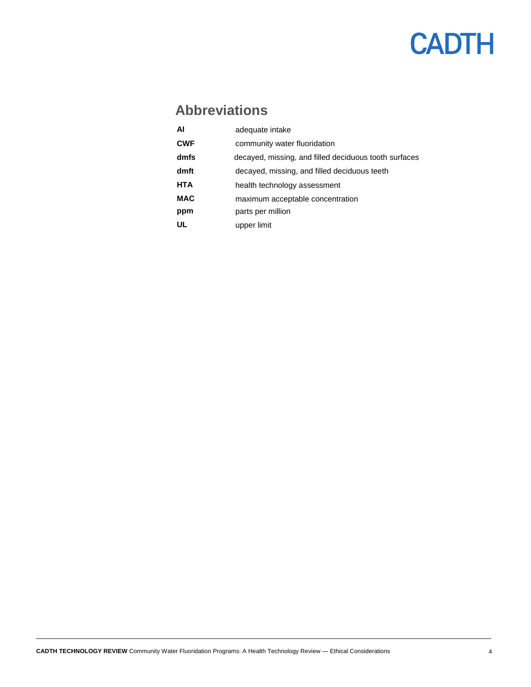### <span id="page-3-0"></span>**Abbreviations**

| AI         | adequate intake                                       |
|------------|-------------------------------------------------------|
| <b>CWF</b> | community water fluoridation                          |
| dmfs       | decayed, missing, and filled deciduous tooth surfaces |
| dmft       | decayed, missing, and filled deciduous teeth          |
| HTA        | health technology assessment                          |
| <b>MAC</b> | maximum acceptable concentration                      |
| ppm        | parts per million                                     |
| UL         | upper limit                                           |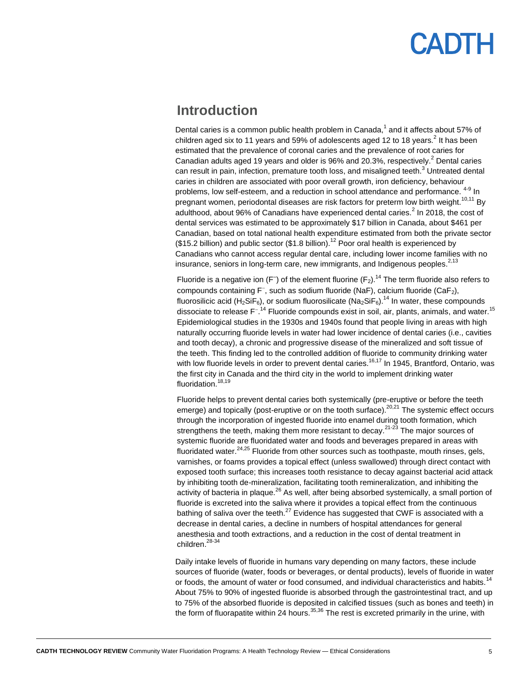### **ANTH**

### **Introduction**

<span id="page-4-0"></span>Dental caries is a common public health problem in Canada,<sup>1</sup> and it affects about 57% of children aged six to 11 years and 59% of adolescents aged 12 to 18 years. $^2$  It has been estimated that the prevalence of coronal caries and the prevalence of root caries for Canadian adults aged 19 years and older is 96% and 20.3%, respectively.<sup>2</sup> Dental caries can result in pain, infection, premature tooth loss, and misaligned teeth.<sup>3</sup> Untreated dental caries in children are associated with poor overall growth, iron deficiency, behaviour problems, low self-esteem, and a reduction in school attendance and performance. <sup>4-9</sup> In pregnant women, periodontal diseases are risk factors for preterm low birth weight.<sup>10,11</sup> By adulthood, about 96% of Canadians have experienced dental caries. $^2$  In 2018, the cost of dental services was estimated to be approximately \$17 billion in Canada, about \$461 per Canadian, based on total national health expenditure estimated from both the private sector  $($15.2$ billion)$  and public sector  $($1.8$ billion)$ .<sup>12</sup> Poor oral health is experienced by Canadians who cannot access regular dental care, including lower income families with no insurance, seniors in long-term care, new immigrants, and Indigenous peoples.<sup>2,13</sup>

Fluoride is a negative ion (F<sup>-</sup>) of the element fluorine (F<sub>2</sub>).<sup>14</sup> The term fluoride also refers to compounds containing F<sup>-</sup>, such as sodium fluoride (NaF), calcium fluoride (CaF<sub>2</sub>), fluorosilicic acid (H<sub>2</sub>SiF<sub>6</sub>), or sodium fluorosilicate (Na<sub>2</sub>SiF<sub>6</sub>).<sup>14</sup> In water, these compounds dissociate to release F<sup>-14</sup> Fluoride compounds exist in soil, air, plants, animals, and water.<sup>15</sup> Epidemiological studies in the 1930s and 1940s found that people living in areas with high naturally occurring fluoride levels in water had lower incidence of dental caries (i.e., cavities and tooth decay), a chronic and progressive disease of the mineralized and soft tissue of the teeth. This finding led to the controlled addition of fluoride to community drinking water with low fluoride levels in order to prevent dental caries.<sup>16,17</sup> In 1945, Brantford, Ontario, was the first city in Canada and the third city in the world to implement drinking water fluoridation.<sup>18,19</sup>

Fluoride helps to prevent dental caries both systemically (pre-eruptive or before the teeth emerge) and topically (post-eruptive or on the tooth surface).<sup>20,21</sup> The systemic effect occurs through the incorporation of ingested fluoride into enamel during tooth formation, which strengthens the teeth, making them more resistant to decay.<sup>21-23</sup> The major sources of systemic fluoride are fluoridated water and foods and beverages prepared in areas with fluoridated water.<sup>24,25</sup> Fluoride from other sources such as toothpaste, mouth rinses, gels, varnishes, or foams provides a topical effect (unless swallowed) through direct contact with exposed tooth surface; this increases tooth resistance to decay against bacterial acid attack by inhibiting tooth de-mineralization, facilitating tooth remineralization, and inhibiting the activity of bacteria in plaque.<sup>26</sup> As well, after being absorbed systemically, a small portion of fluoride is excreted into the saliva where it provides a topical effect from the continuous bathing of saliva over the teeth. $^{27}$  Evidence has suggested that CWF is associated with a decrease in dental caries, a decline in numbers of hospital attendances for general anesthesia and tooth extractions, and a reduction in the cost of dental treatment in children.<sup>28-34</sup>

Daily intake levels of fluoride in humans vary depending on many factors, these include sources of fluoride (water, foods or beverages, or dental products), levels of fluoride in water or foods, the amount of water or food consumed, and individual characteristics and habits.<sup>14</sup> About 75% to 90% of ingested fluoride is absorbed through the gastrointestinal tract, and up to 75% of the absorbed fluoride is deposited in calcified tissues (such as bones and teeth) in the form of fluorapatite within 24 hours.  $35,36$  The rest is excreted primarily in the urine, with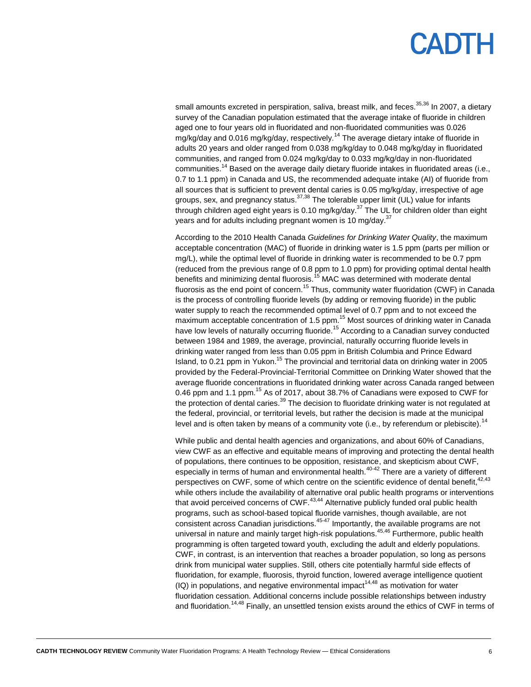### ADI H

small amounts excreted in perspiration, saliva, breast milk, and feces.<sup>35,36</sup> In 2007, a dietary survey of the Canadian population estimated that the average intake of fluoride in children aged one to four years old in fluoridated and non-fluoridated communities was 0.026 mg/kg/day and 0.016 mg/kg/day, respectively.<sup>14</sup> The average dietary intake of fluoride in adults 20 years and older ranged from 0.038 mg/kg/day to 0.048 mg/kg/day in fluoridated communities, and ranged from 0.024 mg/kg/day to 0.033 mg/kg/day in non-fluoridated communities.<sup>14</sup> Based on the average daily dietary fluoride intakes in fluoridated areas (i.e., 0.7 to 1.1 ppm) in Canada and US, the recommended adequate intake (AI) of fluoride from all sources that is sufficient to prevent dental caries is 0.05 mg/kg/day, irrespective of age groups, sex, and pregnancy status.<sup>37,38</sup> The tolerable upper limit (UL) value for infants through children aged eight years is 0.10 mg/kg/day.<sup>37</sup> The UL for children older than eight years and for adults including pregnant women is 10 mg/day.<sup>37</sup>

According to the 2010 Health Canada *Guidelines for Drinking Water Quality*, the maximum acceptable concentration (MAC) of fluoride in drinking water is 1.5 ppm (parts per million or mg/L), while the optimal level of fluoride in drinking water is recommended to be 0.7 ppm (reduced from the previous range of 0.8 ppm to 1.0 ppm) for providing optimal dental health benefits and minimizing dental fluorosis.<sup>15</sup> MAC was determined with moderate dental fluorosis as the end point of concern.<sup>15</sup> Thus, community water fluoridation (CWF) in Canada is the process of controlling fluoride levels (by adding or removing fluoride) in the public water supply to reach the recommended optimal level of 0.7 ppm and to not exceed the maximum acceptable concentration of 1.5 ppm.<sup>15</sup> Most sources of drinking water in Canada have low levels of naturally occurring fluoride.<sup>15</sup> According to a Canadian survey conducted between 1984 and 1989, the average, provincial, naturally occurring fluoride levels in drinking water ranged from less than 0.05 ppm in British Columbia and Prince Edward Island, to 0.21 ppm in Yukon.<sup>15</sup> The provincial and territorial data on drinking water in 2005 provided by the Federal-Provincial-Territorial Committee on Drinking Water showed that the average fluoride concentrations in fluoridated drinking water across Canada ranged between 0.46 ppm and 1.1 ppm.<sup>15</sup> As of 2017, about 38.7% of Canadians were exposed to CWF for the protection of dental caries.<sup>39</sup> The decision to fluoridate drinking water is not regulated at the federal, provincial, or territorial levels, but rather the decision is made at the municipal level and is often taken by means of a community vote (i.e., by referendum or plebiscite).<sup>14</sup>

While public and dental health agencies and organizations, and about 60% of Canadians, view CWF as an effective and equitable means of improving and protecting the dental health of populations, there continues to be opposition, resistance, and skepticism about CWF, especially in terms of human and environmental health.40-42 There are a variety of different perspectives on CWF, some of which centre on the scientific evidence of dental benefit,<sup>42,43</sup> while others include the availability of alternative oral public health programs or interventions that avoid perceived concerns of  $CWF<sub>.43,44</sub>$  Alternative publicly funded oral public health programs, such as school-based topical fluoride varnishes, though available, are not consistent across Canadian jurisdictions. $45-47$  Importantly, the available programs are not universal in nature and mainly target high-risk populations.<sup>45,46</sup> Furthermore, public health programming is often targeted toward youth, excluding the adult and elderly populations. CWF, in contrast, is an intervention that reaches a broader population, so long as persons drink from municipal water supplies. Still, others cite potentially harmful side effects of fluoridation, for example, fluorosis, thyroid function, lowered average intelligence quotient  $(IQ)$  in populations, and negative environmental impact<sup>14,48</sup> as motivation for water fluoridation cessation. Additional concerns include possible relationships between industry and fluoridation.<sup>14,48</sup> Finally, an unsettled tension exists around the ethics of CWF in terms of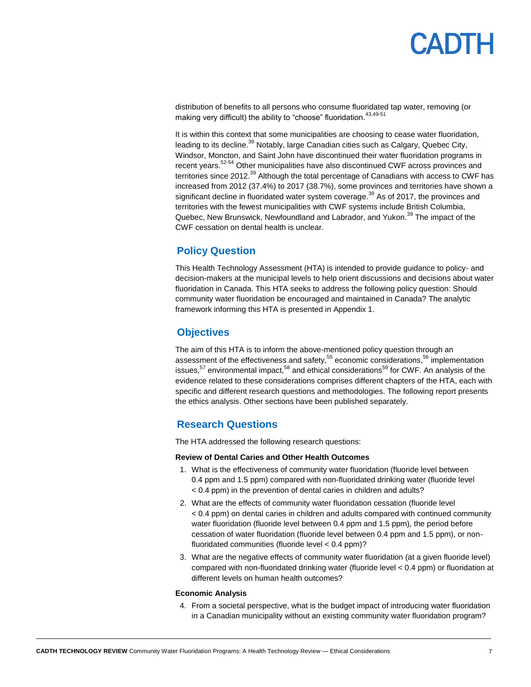distribution of benefits to all persons who consume fluoridated tap water, removing (or making very difficult) the ability to "choose" fluoridation.  $43,49-51$ 

It is within this context that some municipalities are choosing to cease water fluoridation, leading to its decline.<sup>39</sup> Notably, large Canadian cities such as Calgary, Quebec City, Windsor, Moncton, and Saint John have discontinued their water fluoridation programs in recent years.<sup>52-54</sup> Other municipalities have also discontinued CWF across provinces and territories since 2012.<sup>39</sup> Although the total percentage of Canadians with access to CWF has increased from 2012 (37.4%) to 2017 (38.7%), some provinces and territories have shown a significant decline in fluoridated water system coverage.<sup>39</sup> As of 2017, the provinces and territories with the fewest municipalities with CWF systems include British Columbia, Quebec, New Brunswick, Newfoundland and Labrador, and Yukon.<sup>39</sup> The impact of the CWF cessation on dental health is unclear.

### <span id="page-6-0"></span>**Policy Question**

This Health Technology Assessment (HTA) is intended to provide guidance to policy- and decision-makers at the municipal levels to help orient discussions and decisions about water fluoridation in Canada. This HTA seeks to address the following policy question: Should community water fluoridation be encouraged and maintained in Canada? The analytic framework informing this HTA is presented i[n Appendix 1.](#page-32-0)

### <span id="page-6-1"></span>**Objectives**

The aim of this HTA is to inform the above-mentioned policy question through an assessment of the effectiveness and safety,<sup>55</sup> economic considerations,<sup>56</sup> implementation issues, $57$  environmental impact, $58$  and ethical considerations<sup>59</sup> for CWF. An analysis of the evidence related to these considerations comprises different chapters of the HTA, each with specific and different research questions and methodologies. The following report presents the ethics analysis. Other sections have been published separately.

### **Research Questions**

<span id="page-6-2"></span>The HTA addressed the following research questions:

#### **Review of Dental Caries and Other Health Outcomes**

- 1. What is the effectiveness of community water fluoridation (fluoride level between 0.4 ppm and 1.5 ppm) compared with non-fluoridated drinking water (fluoride level < 0.4 ppm) in the prevention of dental caries in children and adults?
- 2. What are the effects of community water fluoridation cessation (fluoride level < 0.4 ppm) on dental caries in children and adults compared with continued community water fluoridation (fluoride level between 0.4 ppm and 1.5 ppm), the period before cessation of water fluoridation (fluoride level between 0.4 ppm and 1.5 ppm), or nonfluoridated communities (fluoride level < 0.4 ppm)?
- 3. What are the negative effects of community water fluoridation (at a given fluoride level) compared with non-fluoridated drinking water (fluoride level < 0.4 ppm) or fluoridation at different levels on human health outcomes?

#### **Economic Analysis**

4. From a societal perspective, what is the budget impact of introducing water fluoridation in a Canadian municipality without an existing community water fluoridation program?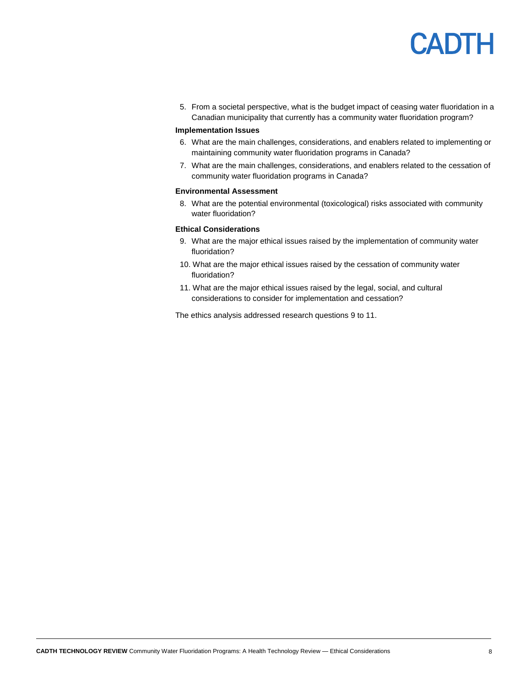5. From a societal perspective, what is the budget impact of ceasing water fluoridation in a Canadian municipality that currently has a community water fluoridation program?

#### **Implementation Issues**

- 6. What are the main challenges, considerations, and enablers related to implementing or maintaining community water fluoridation programs in Canada?
- 7. What are the main challenges, considerations, and enablers related to the cessation of community water fluoridation programs in Canada?

#### **Environmental Assessment**

8. What are the potential environmental (toxicological) risks associated with community water fluoridation?

#### **Ethical Considerations**

- 9. What are the major ethical issues raised by the implementation of community water fluoridation?
- 10. What are the major ethical issues raised by the cessation of community water fluoridation?
- 11. What are the major ethical issues raised by the legal, social, and cultural considerations to consider for implementation and cessation?

The ethics analysis addressed research questions 9 to 11.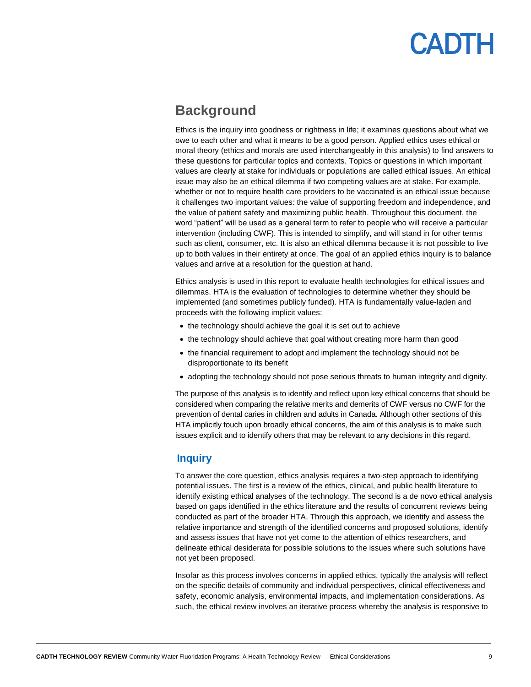### <span id="page-8-0"></span>**Background**

Ethics is the inquiry into goodness or rightness in life; it examines questions about what we owe to each other and what it means to be a good person. Applied ethics uses ethical or moral theory (ethics and morals are used interchangeably in this analysis) to find answers to these questions for particular topics and contexts. Topics or questions in which important values are clearly at stake for individuals or populations are called ethical issues. An ethical issue may also be an ethical dilemma if two competing values are at stake. For example, whether or not to require health care providers to be vaccinated is an ethical issue because it challenges two important values: the value of supporting freedom and independence, and the value of patient safety and maximizing public health. Throughout this document, the word "patient" will be used as a general term to refer to people who will receive a particular intervention (including CWF). This is intended to simplify, and will stand in for other terms such as client, consumer, etc. It is also an ethical dilemma because it is not possible to live up to both values in their entirety at once. The goal of an applied ethics inquiry is to balance values and arrive at a resolution for the question at hand.

Ethics analysis is used in this report to evaluate health technologies for ethical issues and dilemmas. HTA is the evaluation of technologies to determine whether they should be implemented (and sometimes publicly funded). HTA is fundamentally value-laden and proceeds with the following implicit values:

- the technology should achieve the goal it is set out to achieve
- the technology should achieve that goal without creating more harm than good
- the financial requirement to adopt and implement the technology should not be disproportionate to its benefit
- adopting the technology should not pose serious threats to human integrity and dignity.

The purpose of this analysis is to identify and reflect upon key ethical concerns that should be considered when comparing the relative merits and demerits of CWF versus no CWF for the prevention of dental caries in children and adults in Canada. Although other sections of this HTA implicitly touch upon broadly ethical concerns, the aim of this analysis is to make such issues explicit and to identify others that may be relevant to any decisions in this regard.

#### <span id="page-8-1"></span>**Inquiry**

To answer the core question, ethics analysis requires a two-step approach to identifying potential issues. The first is a review of the ethics, clinical, and public health literature to identify existing ethical analyses of the technology. The second is a de novo ethical analysis based on gaps identified in the ethics literature and the results of concurrent reviews being conducted as part of the broader HTA. Through this approach, we identify and assess the relative importance and strength of the identified concerns and proposed solutions, identify and assess issues that have not yet come to the attention of ethics researchers, and delineate ethical desiderata for possible solutions to the issues where such solutions have not yet been proposed.

Insofar as this process involves concerns in applied ethics, typically the analysis will reflect on the specific details of community and individual perspectives, clinical effectiveness and safety, economic analysis, environmental impacts, and implementation considerations. As such, the ethical review involves an iterative process whereby the analysis is responsive to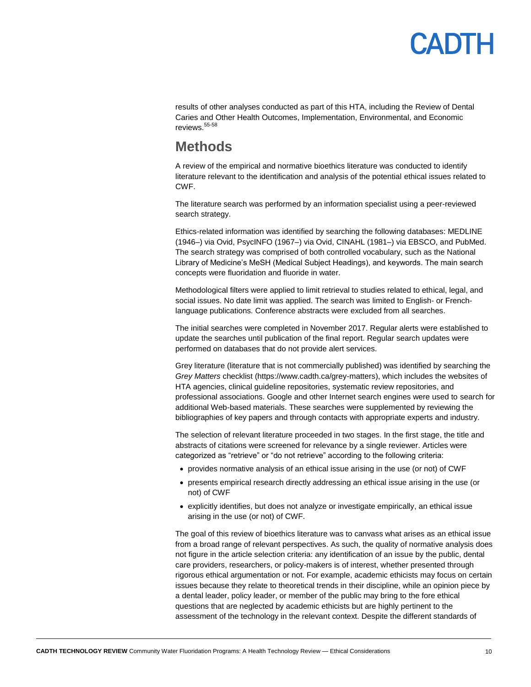

results of other analyses conducted as part of this HTA, including the Review of Dental Caries and Other Health Outcomes, Implementation, Environmental, and Economic reviews.<sup>55-58</sup>

### <span id="page-9-0"></span>**Methods**

A review of the empirical and normative bioethics literature was conducted to identify literature relevant to the identification and analysis of the potential ethical issues related to CWF.

The literature search was performed by an information specialist using a peer-reviewed search strategy.

Ethics-related information was identified by searching the following databases: MEDLINE (1946–) via Ovid, PsycINFO (1967–) via Ovid, CINAHL (1981–) via EBSCO, and PubMed. The search strategy was comprised of both controlled vocabulary, such as the National Library of Medicine's MeSH (Medical Subject Headings), and keywords. The main search concepts were fluoridation and fluoride in water.

Methodological filters were applied to limit retrieval to studies related to ethical, legal, and social issues. No date limit was applied. The search was limited to English- or Frenchlanguage publications. Conference abstracts were excluded from all searches.

The initial searches were completed in November 2017. Regular alerts were established to update the searches until publication of the final report. Regular search updates were performed on databases that do not provide alert services.

Grey literature (literature that is not commercially published) was identified by searching the *Grey Matters* checklist (https://www.cadth.ca/grey-matters), which includes the websites of HTA agencies, clinical guideline repositories, systematic review repositories, and professional associations. Google and other Internet search engines were used to search for additional Web-based materials. These searches were supplemented by reviewing the bibliographies of key papers and through contacts with appropriate experts and industry.

The selection of relevant literature proceeded in two stages. In the first stage, the title and abstracts of citations were screened for relevance by a single reviewer. Articles were categorized as "retrieve" or "do not retrieve" according to the following criteria:

- provides normative analysis of an ethical issue arising in the use (or not) of CWF
- presents empirical research directly addressing an ethical issue arising in the use (or not) of CWF
- explicitly identifies, but does not analyze or investigate empirically, an ethical issue arising in the use (or not) of CWF.

The goal of this review of bioethics literature was to canvass what arises as an ethical issue from a broad range of relevant perspectives. As such, the quality of normative analysis does not figure in the article selection criteria: any identification of an issue by the public, dental care providers, researchers, or policy-makers is of interest, whether presented through rigorous ethical argumentation or not. For example, academic ethicists may focus on certain issues because they relate to theoretical trends in their discipline, while an opinion piece by a dental leader, policy leader, or member of the public may bring to the fore ethical questions that are neglected by academic ethicists but are highly pertinent to the assessment of the technology in the relevant context. Despite the different standards of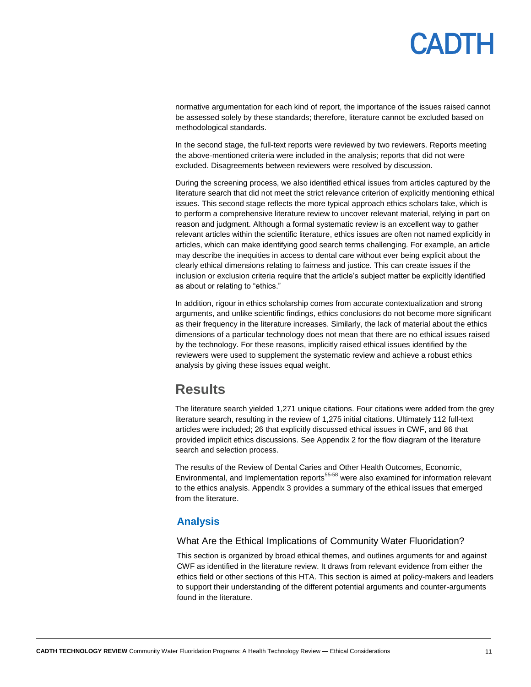## **ANTH**

normative argumentation for each kind of report, the importance of the issues raised cannot be assessed solely by these standards; therefore, literature cannot be excluded based on methodological standards.

In the second stage, the full-text reports were reviewed by two reviewers. Reports meeting the above-mentioned criteria were included in the analysis; reports that did not were excluded. Disagreements between reviewers were resolved by discussion.

During the screening process, we also identified ethical issues from articles captured by the literature search that did not meet the strict relevance criterion of explicitly mentioning ethical issues. This second stage reflects the more typical approach ethics scholars take, which is to perform a comprehensive literature review to uncover relevant material, relying in part on reason and judgment. Although a formal systematic review is an excellent way to gather relevant articles within the scientific literature, ethics issues are often not named explicitly in articles, which can make identifying good search terms challenging. For example, an article may describe the inequities in access to dental care without ever being explicit about the clearly ethical dimensions relating to fairness and justice. This can create issues if the inclusion or exclusion criteria require that the article's subject matter be explicitly identified as about or relating to "ethics."

In addition, rigour in ethics scholarship comes from accurate contextualization and strong arguments, and unlike scientific findings, ethics conclusions do not become more significant as their frequency in the literature increases. Similarly, the lack of material about the ethics dimensions of a particular technology does not mean that there are no ethical issues raised by the technology. For these reasons, implicitly raised ethical issues identified by the reviewers were used to supplement the systematic review and achieve a robust ethics analysis by giving these issues equal weight.

### <span id="page-10-0"></span>**Results**

The literature search yielded 1,271 unique citations. Four citations were added from the grey literature search, resulting in the review of 1,275 initial citations. Ultimately 112 full-text articles were included; 26 that explicitly discussed ethical issues in CWF, and 86 that provided implicit ethics discussions. Se[e Appendix 2](#page-34-0) for the flow diagram of the literature search and selection process.

The results of the Review of Dental Caries and Other Health Outcomes, Economic, Environmental, and Implementation reports<sup>55-58</sup> were also examined for information relevant to the ethics analysis. [Appendix 3](#page-35-0) provides a summary of the ethical issues that emerged from the literature.

### <span id="page-10-1"></span>**Analysis**

#### What Are the Ethical Implications of Community Water Fluoridation?

This section is organized by broad ethical themes, and outlines arguments for and against CWF as identified in the literature review. It draws from relevant evidence from either the ethics field or other sections of this HTA. This section is aimed at policy-makers and leaders to support their understanding of the different potential arguments and counter-arguments found in the literature.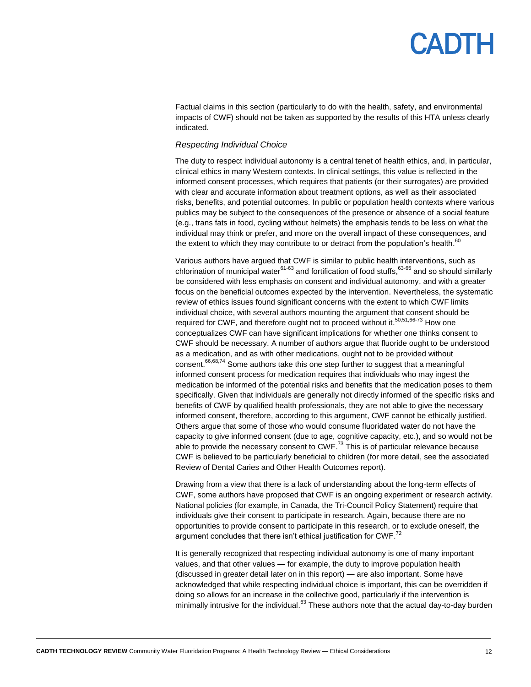## **ANTH**

Factual claims in this section (particularly to do with the health, safety, and environmental impacts of CWF) should not be taken as supported by the results of this HTA unless clearly indicated.

#### *Respecting Individual Choice*

The duty to respect individual autonomy is a central tenet of health ethics, and, in particular, clinical ethics in many Western contexts. In clinical settings, this value is reflected in the informed consent processes, which requires that patients (or their surrogates) are provided with clear and accurate information about treatment options, as well as their associated risks, benefits, and potential outcomes. In public or population health contexts where various publics may be subject to the consequences of the presence or absence of a social feature (e.g., trans fats in food, cycling without helmets) the emphasis tends to be less on what the individual may think or prefer, and more on the overall impact of these consequences, and the extent to which they may contribute to or detract from the population's health.  $^{60}$ 

Various authors have argued that CWF is similar to public health interventions, such as chlorination of municipal water<sup>61-63</sup> and fortification of food stuffs, <sup>63-65</sup> and so should similarly be considered with less emphasis on consent and individual autonomy, and with a greater focus on the beneficial outcomes expected by the intervention. Nevertheless, the systematic review of ethics issues found significant concerns with the extent to which CWF limits individual choice, with several authors mounting the argument that consent should be required for CWF, and therefore ought not to proceed without it.<sup>50,51,66-73</sup> How one conceptualizes CWF can have significant implications for whether one thinks consent to CWF should be necessary. A number of authors argue that fluoride ought to be understood as a medication, and as with other medications, ought not to be provided without consent.<sup>66,68,74</sup> Some authors take this one step further to suggest that a meaningful informed consent process for medication requires that individuals who may ingest the medication be informed of the potential risks and benefits that the medication poses to them specifically. Given that individuals are generally not directly informed of the specific risks and benefits of CWF by qualified health professionals, they are not able to give the necessary informed consent, therefore, according to this argument, CWF cannot be ethically justified. Others argue that some of those who would consume fluoridated water do not have the capacity to give informed consent (due to age, cognitive capacity, etc.), and so would not be able to provide the necessary consent to CWF.<sup>73</sup> This is of particular relevance because CWF is believed to be particularly beneficial to children (for more detail, see the associated Review of Dental Caries and Other Health Outcomes report).

Drawing from a view that there is a lack of understanding about the long-term effects of CWF, some authors have proposed that CWF is an ongoing experiment or research activity. National policies (for example, in Canada, the Tri-Council Policy Statement) require that individuals give their consent to participate in research. Again, because there are no opportunities to provide consent to participate in this research, or to exclude oneself, the argument concludes that there isn't ethical justification for  ${\sf CWF.}^{72}$ 

It is generally recognized that respecting individual autonomy is one of many important values, and that other values — for example, the duty to improve population health (discussed in greater detail later on in this report) — are also important. Some have acknowledged that while respecting individual choice is important, this can be overridden if doing so allows for an increase in the collective good, particularly if the intervention is minimally intrusive for the individual.<sup>63</sup> These authors note that the actual day-to-day burden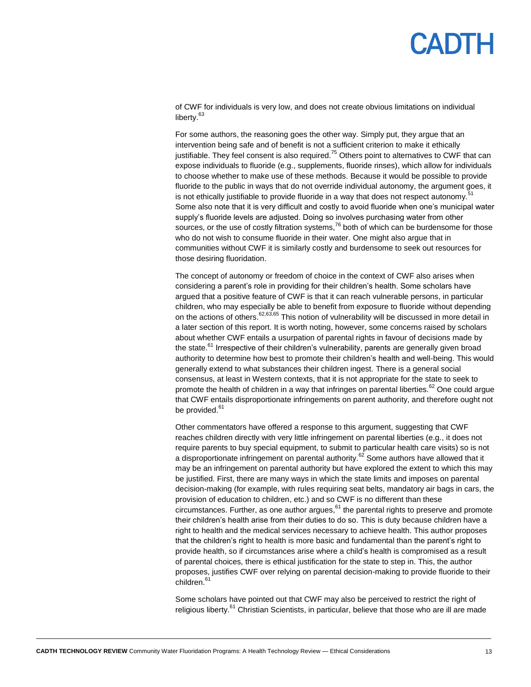## PANTH

of CWF for individuals is very low, and does not create obvious limitations on individual liberty.<sup>63</sup>

For some authors, the reasoning goes the other way. Simply put, they argue that an intervention being safe and of benefit is not a sufficient criterion to make it ethically justifiable. They feel consent is also required.<sup>75</sup> Others point to alternatives to CWF that can expose individuals to fluoride (e.g., supplements, fluoride rinses), which allow for individuals to choose whether to make use of these methods. Because it would be possible to provide fluoride to the public in ways that do not override individual autonomy, the argument goes, it is not ethically justifiable to provide fluoride in a way that does not respect autonomy.<sup>51</sup> Some also note that it is very difficult and costly to avoid fluoride when one's municipal water supply's fluoride levels are adjusted. Doing so involves purchasing water from other sources, or the use of costly filtration systems,  $76$  both of which can be burdensome for those who do not wish to consume fluoride in their water. One might also argue that in communities without CWF it is similarly costly and burdensome to seek out resources for those desiring fluoridation.

The concept of autonomy or freedom of choice in the context of CWF also arises when considering a parent's role in providing for their children's health. Some scholars have argued that a positive feature of CWF is that it can reach vulnerable persons, in particular children, who may especially be able to benefit from exposure to fluoride without depending on the actions of others.<sup>62,63,65</sup> This notion of vulnerability will be discussed in more detail in a later section of this report. It is worth noting, however, some concerns raised by scholars about whether CWF entails a usurpation of parental rights in favour of decisions made by the state.<sup>61</sup> Irrespective of their children's vulnerability, parents are generally given broad authority to determine how best to promote their children's health and well-being. This would generally extend to what substances their children ingest. There is a general social consensus, at least in Western contexts, that it is not appropriate for the state to seek to promote the health of children in a way that infringes on parental liberties.<sup>62</sup> One could argue that CWF entails disproportionate infringements on parent authority, and therefore ought not be provided.<sup>61</sup>

Other commentators have offered a response to this argument, suggesting that CWF reaches children directly with very little infringement on parental liberties (e.g., it does not require parents to buy special equipment, to submit to particular health care visits) so is not a disproportionate infringement on parental authority.<sup>62</sup> Some authors have allowed that it may be an infringement on parental authority but have explored the extent to which this may be justified. First, there are many ways in which the state limits and imposes on parental decision-making (for example, with rules requiring seat belts, mandatory air bags in cars, the provision of education to children, etc.) and so CWF is no different than these circumstances. Further, as one author argues,  $61$  the parental rights to preserve and promote their children's health arise from their duties to do so. This is duty because children have a right to health and the medical services necessary to achieve health. This author proposes that the children's right to health is more basic and fundamental than the parent's right to provide health, so if circumstances arise where a child's health is compromised as a result of parental choices, there is ethical justification for the state to step in. This, the author proposes, justifies CWF over relying on parental decision-making to provide fluoride to their children.<sup>61</sup>

Some scholars have pointed out that CWF may also be perceived to restrict the right of religious liberty.<sup>61</sup> Christian Scientists, in particular, believe that those who are ill are made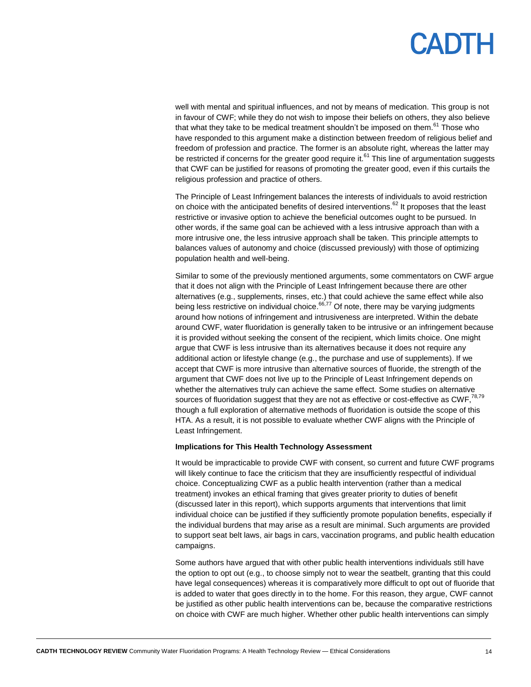well with mental and spiritual influences, and not by means of medication. This group is not in favour of CWF; while they do not wish to impose their beliefs on others, they also believe that what they take to be medical treatment shouldn't be imposed on them.<sup>61</sup> Those who have responded to this argument make a distinction between freedom of religious belief and freedom of profession and practice. The former is an absolute right, whereas the latter may be restricted if concerns for the greater good require it.<sup>61</sup> This line of argumentation suggests that CWF can be justified for reasons of promoting the greater good, even if this curtails the religious profession and practice of others.

The Principle of Least Infringement balances the interests of individuals to avoid restriction on choice with the anticipated benefits of desired interventions.<sup>62</sup> It proposes that the least restrictive or invasive option to achieve the beneficial outcomes ought to be pursued. In other words, if the same goal can be achieved with a less intrusive approach than with a more intrusive one, the less intrusive approach shall be taken. This principle attempts to balances values of autonomy and choice (discussed previously) with those of optimizing population health and well-being.

Similar to some of the previously mentioned arguments, some commentators on CWF argue that it does not align with the Principle of Least Infringement because there are other alternatives (e.g., supplements, rinses, etc.) that could achieve the same effect while also being less restrictive on individual choice.<sup>66,77</sup> Of note, there may be varying judgments around how notions of infringement and intrusiveness are interpreted. Within the debate around CWF, water fluoridation is generally taken to be intrusive or an infringement because it is provided without seeking the consent of the recipient, which limits choice. One might argue that CWF is less intrusive than its alternatives because it does not require any additional action or lifestyle change (e.g., the purchase and use of supplements). If we accept that CWF is more intrusive than alternative sources of fluoride, the strength of the argument that CWF does not live up to the Principle of Least Infringement depends on whether the alternatives truly can achieve the same effect. Some studies on alternative sources of fluoridation suggest that they are not as effective or cost-effective as  $\text{CWF},^{78,79}$ though a full exploration of alternative methods of fluoridation is outside the scope of this HTA. As a result, it is not possible to evaluate whether CWF aligns with the Principle of Least Infringement.

#### **Implications for This Health Technology Assessment**

It would be impracticable to provide CWF with consent, so current and future CWF programs will likely continue to face the criticism that they are insufficiently respectful of individual choice. Conceptualizing CWF as a public health intervention (rather than a medical treatment) invokes an ethical framing that gives greater priority to duties of benefit (discussed later in this report), which supports arguments that interventions that limit individual choice can be justified if they sufficiently promote population benefits, especially if the individual burdens that may arise as a result are minimal. Such arguments are provided to support seat belt laws, air bags in cars, vaccination programs, and public health education campaigns.

Some authors have argued that with other public health interventions individuals still have the option to opt out (e.g., to choose simply not to wear the seatbelt, granting that this could have legal consequences) whereas it is comparatively more difficult to opt out of fluoride that is added to water that goes directly in to the home. For this reason, they argue, CWF cannot be justified as other public health interventions can be, because the comparative restrictions on choice with CWF are much higher. Whether other public health interventions can simply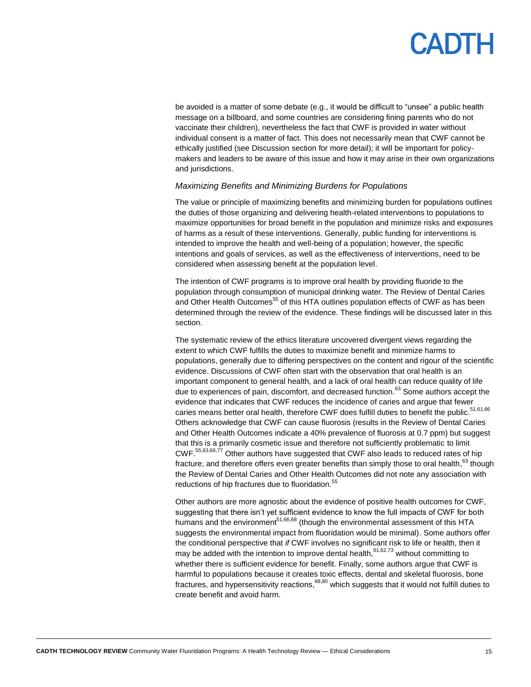be avoided is a matter of some debate (e.g., it would be difficult to "unsee" a public health message on a billboard, and some countries are considering fining parents who do not vaccinate their children), nevertheless the fact that CWF is provided in water without individual consent is a matter of fact. This does not necessarily mean that CWF cannot be ethically justified (see Discussion section for more detail); it will be important for policymakers and leaders to be aware of this issue and how it may arise in their own organizations and jurisdictions.

#### *Maximizing Benefits and Minimizing Burdens for Populations*

The value or principle of maximizing benefits and minimizing burden for populations outlines the duties of those organizing and delivering health-related interventions to populations to maximize opportunities for broad benefit in the population and minimize risks and exposures of harms as a result of these interventions. Generally, public funding for interventions is intended to improve the health and well-being of a population; however, the specific intentions and goals of services, as well as the effectiveness of interventions, need to be considered when assessing benefit at the population level.

The intention of CWF programs is to improve oral health by providing fluoride to the population through consumption of municipal drinking water. The Review of Dental Caries and Other Health Outcomes<sup>55</sup> of this HTA outlines population effects of CWF as has been determined through the review of the evidence. These findings will be discussed later in this section.

The systematic review of the ethics literature uncovered divergent views regarding the extent to which CWF fulfills the duties to maximize benefit and minimize harms to populations, generally due to differing perspectives on the content and rigour of the scientific evidence. Discussions of CWF often start with the observation that oral health is an important component to general health, and a lack of oral health can reduce quality of life due to experiences of pain, discomfort, and decreased function.<sup>63</sup> Some authors accept the evidence that indicates that CWF reduces the incidence of caries and argue that fewer caries means better oral health, therefore CWF does fulfill duties to benefit the public.<sup>51,61,66</sup> Others acknowledge that CWF can cause fluorosis (results in the Review of Dental Caries and Other Health Outcomes indicate a 40% prevalence of fluorosis at 0.7 ppm) but suggest that this is a primarily cosmetic issue and therefore not sufficiently problematic to limit CWF. 55,63,66,77 Other authors have suggested that CWF also leads to reduced rates of hip fracture, and therefore offers even greater benefits than simply those to oral health, <sup>63</sup> though the Review of Dental Caries and Other Health Outcomes did not note any association with reductions of hip fractures due to fluoridation.<sup>55</sup>

Other authors are more agnostic about the evidence of positive health outcomes for CWF, suggesting that there isn't yet sufficient evidence to know the full impacts of CWF for both humans and the environment<sup>51,66,68</sup> (though the environmental assessment of this HTA suggests the environmental impact from fluoridation would be minimal). Some authors offer the conditional perspective that *if* CWF involves no significant risk to life or health, then it may be added with the intention to improve dental health,  $61,62,73$  without committing to whether there is sufficient evidence for benefit. Finally, some authors argue that CWF is harmful to populations because it creates toxic effects, dental and skeletal fluorosis, bone fractures, and hypersensitivity reactions,<sup>68,80</sup> which suggests that it would not fulfill duties to create benefit and avoid harm.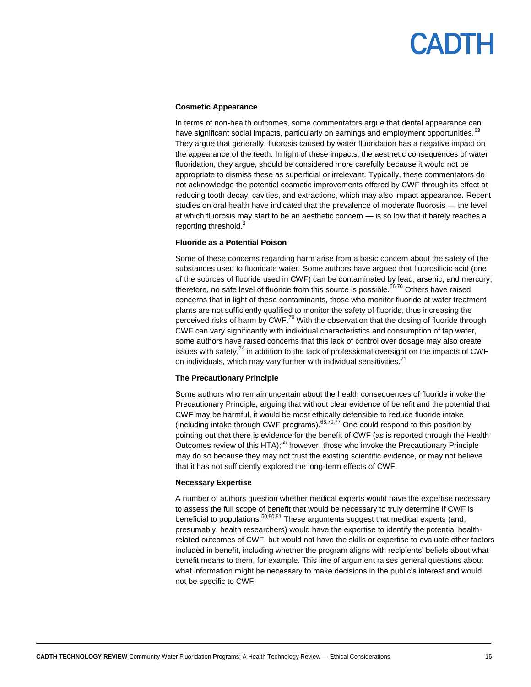#### **Cosmetic Appearance**

In terms of non-health outcomes, some commentators argue that dental appearance can have significant social impacts, particularly on earnings and employment opportunities.<sup>63</sup> They argue that generally, fluorosis caused by water fluoridation has a negative impact on the appearance of the teeth. In light of these impacts, the aesthetic consequences of water fluoridation, they argue, should be considered more carefully because it would not be appropriate to dismiss these as superficial or irrelevant. Typically, these commentators do not acknowledge the potential cosmetic improvements offered by CWF through its effect at reducing tooth decay, cavities, and extractions, which may also impact appearance. Recent studies on oral health have indicated that the prevalence of moderate fluorosis — the level at which fluorosis may start to be an aesthetic concern — is so low that it barely reaches a reporting threshold. $<sup>2</sup>$ </sup>

#### **Fluoride as a Potential Poison**

Some of these concerns regarding harm arise from a basic concern about the safety of the substances used to fluoridate water. Some authors have argued that fluorosilicic acid (one of the sources of fluoride used in CWF) can be contaminated by lead, arsenic, and mercury; therefore, no safe level of fluoride from this source is possible. $66,70$  Others have raised concerns that in light of these contaminants, those who monitor fluoride at water treatment plants are not sufficiently qualified to monitor the safety of fluoride, thus increasing the perceived risks of harm by CWF.<sup>70</sup> With the observation that the dosing of fluoride through CWF can vary significantly with individual characteristics and consumption of tap water, some authors have raised concerns that this lack of control over dosage may also create issues with safety,<sup>74</sup> in addition to the lack of professional oversight on the impacts of CWF on individuals, which may vary further with individual sensitivities.<sup>71</sup>

#### **The Precautionary Principle**

Some authors who remain uncertain about the health consequences of fluoride invoke the Precautionary Principle, arguing that without clear evidence of benefit and the potential that CWF may be harmful, it would be most ethically defensible to reduce fluoride intake (including intake through CWF programs). $66,70,77$  One could respond to this position by pointing out that there is evidence for the benefit of CWF (as is reported through the Health Outcomes review of this HTA);<sup>55</sup> however, those who invoke the Precautionary Principle may do so because they may not trust the existing scientific evidence, or may not believe that it has not sufficiently explored the long-term effects of CWF.

#### **Necessary Expertise**

A number of authors question whether medical experts would have the expertise necessary to assess the full scope of benefit that would be necessary to truly determine if CWF is beneficial to populations.<sup>50,80,81</sup> These arguments suggest that medical experts (and, presumably, health researchers) would have the expertise to identify the potential healthrelated outcomes of CWF, but would not have the skills or expertise to evaluate other factors included in benefit, including whether the program aligns with recipients' beliefs about what benefit means to them, for example. This line of argument raises general questions about what information might be necessary to make decisions in the public's interest and would not be specific to CWF.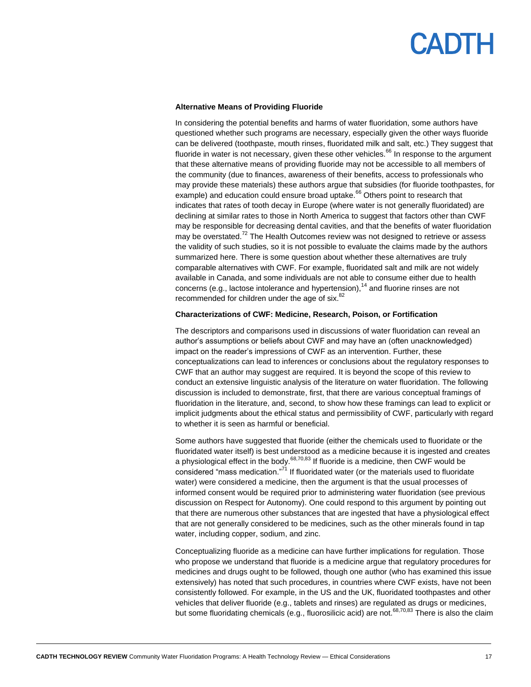#### **Alternative Means of Providing Fluoride**

In considering the potential benefits and harms of water fluoridation, some authors have questioned whether such programs are necessary, especially given the other ways fluoride can be delivered (toothpaste, mouth rinses, fluoridated milk and salt, etc.) They suggest that fluoride in water is not necessary, given these other vehicles.<sup>66</sup> In response to the argument that these alternative means of providing fluoride may not be accessible to all members of the community (due to finances, awareness of their benefits, access to professionals who may provide these materials) these authors argue that subsidies (for fluoride toothpastes, for example) and education could ensure broad uptake.<sup>66</sup> Others point to research that indicates that rates of tooth decay in Europe (where water is not generally fluoridated) are declining at similar rates to those in North America to suggest that factors other than CWF may be responsible for decreasing dental cavities, and that the benefits of water fluoridation may be overstated.<sup>72</sup> The Health Outcomes review was not designed to retrieve or assess the validity of such studies, so it is not possible to evaluate the claims made by the authors summarized here. There is some question about whether these alternatives are truly comparable alternatives with CWF. For example, fluoridated salt and milk are not widely available in Canada, and some individuals are not able to consume either due to health concerns (e.g., lactose intolerance and hypertension),  $14$  and fluorine rinses are not recommended for children under the age of six.<sup>82</sup>

#### **Characterizations of CWF: Medicine, Research, Poison, or Fortification**

The descriptors and comparisons used in discussions of water fluoridation can reveal an author's assumptions or beliefs about CWF and may have an (often unacknowledged) impact on the reader's impressions of CWF as an intervention. Further, these conceptualizations can lead to inferences or conclusions about the regulatory responses to CWF that an author may suggest are required. It is beyond the scope of this review to conduct an extensive linguistic analysis of the literature on water fluoridation. The following discussion is included to demonstrate, first, that there are various conceptual framings of fluoridation in the literature, and, second, to show how these framings can lead to explicit or implicit judgments about the ethical status and permissibility of CWF, particularly with regard to whether it is seen as harmful or beneficial.

Some authors have suggested that fluoride (either the chemicals used to fluoridate or the fluoridated water itself) is best understood as a medicine because it is ingested and creates a physiological effect in the body.<sup>68,70,83</sup> If fluoride is a medicine, then CWF would be considered "mass medication."<sup>71</sup> If fluoridated water (or the materials used to fluoridate water) were considered a medicine, then the argument is that the usual processes of informed consent would be required prior to administering water fluoridation (see previous discussion on Respect for Autonomy). One could respond to this argument by pointing out that there are numerous other substances that are ingested that have a physiological effect that are not generally considered to be medicines, such as the other minerals found in tap water, including copper, sodium, and zinc.

Conceptualizing fluoride as a medicine can have further implications for regulation. Those who propose we understand that fluoride is a medicine argue that regulatory procedures for medicines and drugs ought to be followed, though one author (who has examined this issue extensively) has noted that such procedures, in countries where CWF exists, have not been consistently followed. For example, in the US and the UK, fluoridated toothpastes and other vehicles that deliver fluoride (e.g., tablets and rinses) are regulated as drugs or medicines, but some fluoridating chemicals (e.g., fluorosilicic acid) are not.<sup>68,70,83</sup> There is also the claim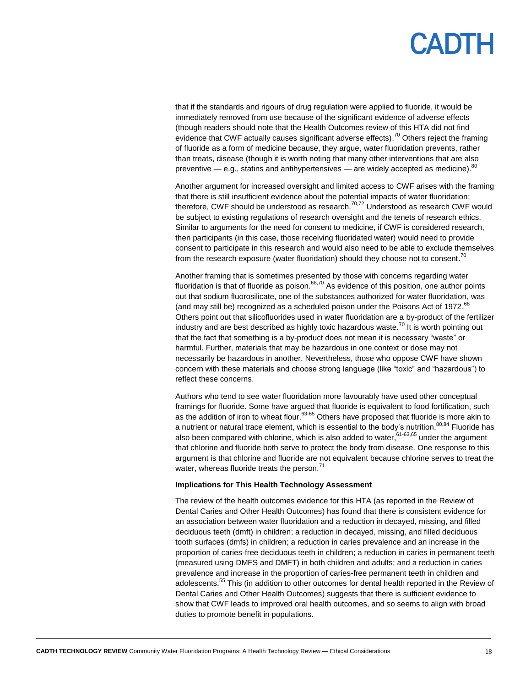### **ANTH**

that if the standards and rigours of drug regulation were applied to fluoride, it would be immediately removed from use because of the significant evidence of adverse effects (though readers should note that the Health Outcomes review of this HTA did not find evidence that CWF actually causes significant adverse effects).<sup>70</sup> Others reject the framing of fluoride as a form of medicine because, they argue, water fluoridation prevents, rather than treats, disease (though it is worth noting that many other interventions that are also preventive — e.g., statins and antihypertensives — are widely accepted as medicine). $^{80}$ 

Another argument for increased oversight and limited access to CWF arises with the framing that there is still insufficient evidence about the potential impacts of water fluoridation; therefore, CWF should be understood as research.<sup>70,72</sup> Understood as research CWF would be subject to existing regulations of research oversight and the tenets of research ethics. Similar to arguments for the need for consent to medicine, if CWF is considered research, then participants (in this case, those receiving fluoridated water) would need to provide consent to participate in this research and would also need to be able to exclude themselves from the research exposure (water fluoridation) should they choose not to consent.<sup>70</sup>

Another framing that is sometimes presented by those with concerns regarding water fluoridation is that of fluoride as poison.<sup>68,70</sup> As evidence of this position, one author points out that sodium fluorosilicate, one of the substances authorized for water fluoridation, was (and may still be) recognized as a scheduled poison under the Poisons Act of 1972.<sup>68</sup> Others point out that silicofluorides used in water fluoridation are a by-product of the fertilizer industry and are best described as highly toxic hazardous waste.<sup>70</sup> It is worth pointing out that the fact that something is a by-product does not mean it is necessary "waste" or harmful. Further, materials that may be hazardous in one context or dose may not necessarily be hazardous in another. Nevertheless, those who oppose CWF have shown concern with these materials and choose strong language (like "toxic" and "hazardous") to reflect these concerns.

Authors who tend to see water fluoridation more favourably have used other conceptual framings for fluoride. Some have argued that fluoride is equivalent to food fortification, such as the addition of iron to wheat flour.<sup>63-65</sup> Others have proposed that fluoride is more akin to a nutrient or natural trace element, which is essential to the body's nutrition.<sup>80,84</sup> Fluoride has also been compared with chlorine, which is also added to water,<sup>61-63,65</sup> under the argument that chlorine and fluoride both serve to protect the body from disease. One response to this argument is that chlorine and fluoride are not equivalent because chlorine serves to treat the water, whereas fluoride treats the person.<sup>71</sup>

#### **Implications for This Health Technology Assessment**

The review of the health outcomes evidence for this HTA (as reported in the Review of Dental Caries and Other Health Outcomes) has found that there is consistent evidence for an association between water fluoridation and a reduction in decayed, missing, and filled deciduous teeth (dmft) in children; a reduction in decayed, missing, and filled deciduous tooth surfaces (dmfs) in children; a reduction in caries prevalence and an increase in the proportion of caries-free deciduous teeth in children; a reduction in caries in permanent teeth (measured using DMFS and DMFT) in both children and adults; and a reduction in caries prevalence and increase in the proportion of caries-free permanent teeth in children and adolescents.<sup>55</sup> This (in addition to other outcomes for dental health reported in the Review of Dental Caries and Other Health Outcomes) suggests that there is sufficient evidence to show that CWF leads to improved oral health outcomes, and so seems to align with broad duties to promote benefit in populations.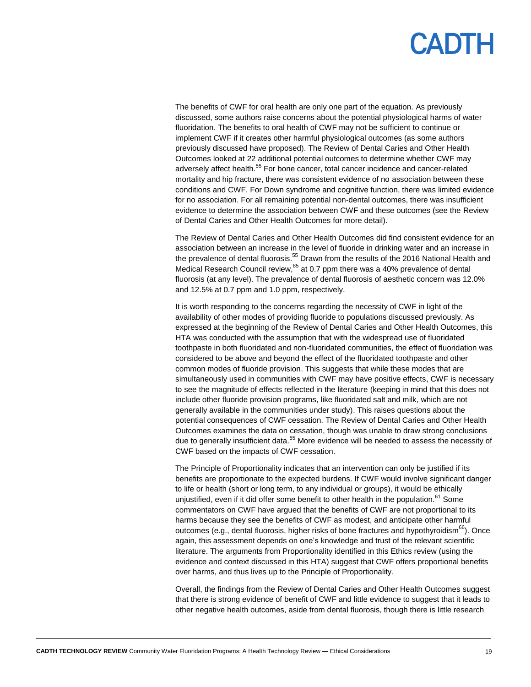### PADTH

The benefits of CWF for oral health are only one part of the equation. As previously discussed, some authors raise concerns about the potential physiological harms of water fluoridation. The benefits to oral health of CWF may not be sufficient to continue or implement CWF if it creates other harmful physiological outcomes (as some authors previously discussed have proposed). The Review of Dental Caries and Other Health Outcomes looked at 22 additional potential outcomes to determine whether CWF may adversely affect health.<sup>55</sup> For bone cancer, total cancer incidence and cancer-related mortality and hip fracture, there was consistent evidence of no association between these conditions and CWF. For Down syndrome and cognitive function, there was limited evidence for no association. For all remaining potential non-dental outcomes, there was insufficient evidence to determine the association between CWF and these outcomes (see the Review of Dental Caries and Other Health Outcomes for more detail).

The Review of Dental Caries and Other Health Outcomes did find consistent evidence for an association between an increase in the level of fluoride in drinking water and an increase in the prevalence of dental fluorosis.<sup>55</sup> Drawn from the results of the 2016 National Health and Medical Research Council review, <sup>85</sup> at 0.7 ppm there was a 40% prevalence of dental fluorosis (at any level). The prevalence of dental fluorosis of aesthetic concern was 12.0% and 12.5% at 0.7 ppm and 1.0 ppm, respectively.

It is worth responding to the concerns regarding the necessity of CWF in light of the availability of other modes of providing fluoride to populations discussed previously. As expressed at the beginning of the Review of Dental Caries and Other Health Outcomes, this HTA was conducted with the assumption that with the widespread use of fluoridated toothpaste in both fluoridated and non-fluoridated communities, the effect of fluoridation was considered to be above and beyond the effect of the fluoridated toothpaste and other common modes of fluoride provision. This suggests that while these modes that are simultaneously used in communities with CWF may have positive effects, CWF is necessary to see the magnitude of effects reflected in the literature (keeping in mind that this does not include other fluoride provision programs, like fluoridated salt and milk, which are not generally available in the communities under study). This raises questions about the potential consequences of CWF cessation. The Review of Dental Caries and Other Health Outcomes examines the data on cessation, though was unable to draw strong conclusions due to generally insufficient data.<sup>55</sup> More evidence will be needed to assess the necessity of CWF based on the impacts of CWF cessation.

The Principle of Proportionality indicates that an intervention can only be justified if its benefits are proportionate to the expected burdens. If CWF would involve significant danger to life or health (short or long term, to any individual or groups), it would be ethically unjustified, even if it did offer some benefit to other health in the population.  $61$  Some commentators on CWF have argued that the benefits of CWF are not proportional to its harms because they see the benefits of CWF as modest, and anticipate other harmful outcomes (e.g., dental fluorosis, higher risks of bone fractures and hypothyroidism $^{66}$ ). Once again, this assessment depends on one's knowledge and trust of the relevant scientific literature. The arguments from Proportionality identified in this Ethics review (using the evidence and context discussed in this HTA) suggest that CWF offers proportional benefits over harms, and thus lives up to the Principle of Proportionality.

Overall, the findings from the Review of Dental Caries and Other Health Outcomes suggest that there is strong evidence of benefit of CWF and little evidence to suggest that it leads to other negative health outcomes, aside from dental fluorosis, though there is little research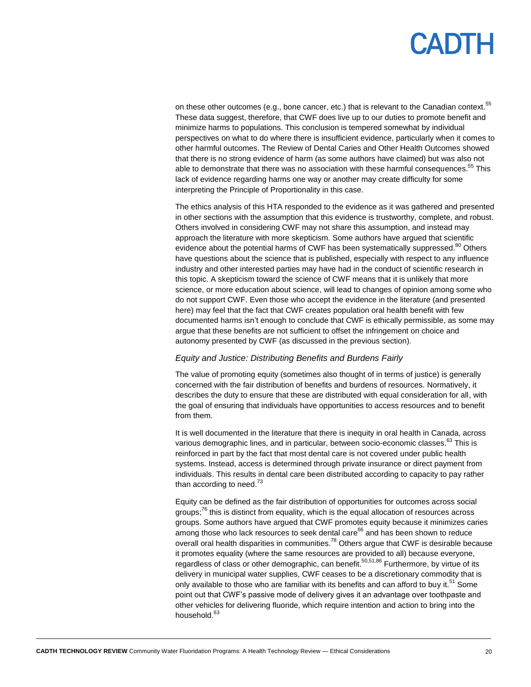## **ANTH**

on these other outcomes (e.g., bone cancer, etc.) that is relevant to the Canadian context.<sup>55</sup> These data suggest, therefore, that CWF does live up to our duties to promote benefit and minimize harms to populations. This conclusion is tempered somewhat by individual perspectives on what to do where there is insufficient evidence, particularly when it comes to other harmful outcomes. The Review of Dental Caries and Other Health Outcomes showed that there is no strong evidence of harm (as some authors have claimed) but was also not able to demonstrate that there was no association with these harmful consequences.<sup>55</sup> This lack of evidence regarding harms one way or another may create difficulty for some interpreting the Principle of Proportionality in this case.

The ethics analysis of this HTA responded to the evidence as it was gathered and presented in other sections with the assumption that this evidence is trustworthy, complete, and robust. Others involved in considering CWF may not share this assumption, and instead may approach the literature with more skepticism. Some authors have argued that scientific evidence about the potential harms of CWF has been systematically suppressed.<sup>80</sup> Others have questions about the science that is published, especially with respect to any influence industry and other interested parties may have had in the conduct of scientific research in this topic. A skepticism toward the science of CWF means that it is unlikely that more science, or more education about science, will lead to changes of opinion among some who do not support CWF. Even those who accept the evidence in the literature (and presented here) may feel that the fact that CWF creates population oral health benefit with few documented harms isn't enough to conclude that CWF is ethically permissible, as some may argue that these benefits are not sufficient to offset the infringement on choice and autonomy presented by CWF (as discussed in the previous section).

#### *Equity and Justice: Distributing Benefits and Burdens Fairly*

The value of promoting equity (sometimes also thought of in terms of justice) is generally concerned with the fair distribution of benefits and burdens of resources. Normatively, it describes the duty to ensure that these are distributed with equal consideration for all, with the goal of ensuring that individuals have opportunities to access resources and to benefit from them.

It is well documented in the literature that there is inequity in oral health in Canada, across various demographic lines, and in particular, between socio-economic classes.<sup>63</sup> This is reinforced in part by the fact that most dental care is not covered under public health systems. Instead, access is determined through private insurance or direct payment from individuals. This results in dental care been distributed according to capacity to pay rather than according to need.<sup>73</sup>

Equity can be defined as the fair distribution of opportunities for outcomes across social groups;<sup>76</sup> this is distinct from equality, which is the equal allocation of resources across groups. Some authors have argued that CWF promotes equity because it minimizes caries among those who lack resources to seek dental care<sup>66</sup> and has been shown to reduce overall oral health disparities in communities.<sup>78</sup> Others argue that CWF is desirable because it promotes equality (where the same resources are provided to all) because everyone, regardless of class or other demographic, can benefit.<sup>50,51,86</sup> Furthermore, by virtue of its delivery in municipal water supplies, CWF ceases to be a discretionary commodity that is only available to those who are familiar with its benefits and can afford to buy it.<sup>51</sup> Some point out that CWF's passive mode of delivery gives it an advantage over toothpaste and other vehicles for delivering fluoride, which require intention and action to bring into the household.<sup>63</sup>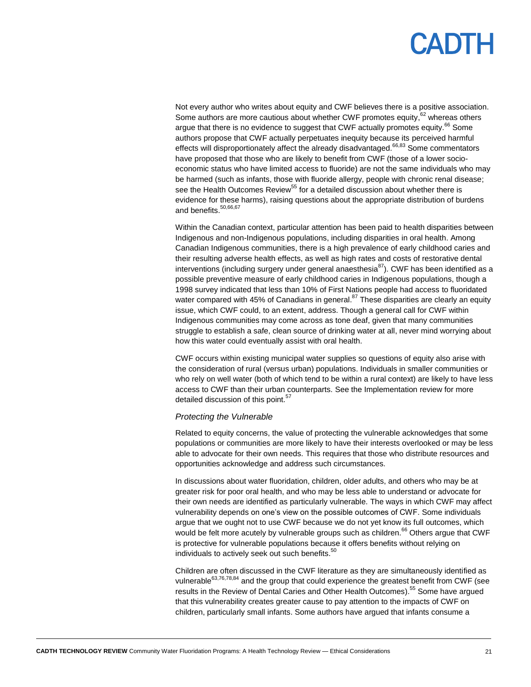### **ANTH**

Not every author who writes about equity and CWF believes there is a positive association. Some authors are more cautious about whether CWF promotes equity,  $62$  whereas others argue that there is no evidence to suggest that CWF actually promotes equity.<sup>66</sup> Some authors propose that CWF actually perpetuates inequity because its perceived harmful effects will disproportionately affect the already disadvantaged.<sup>66,83</sup> Some commentators have proposed that those who are likely to benefit from CWF (those of a lower socioeconomic status who have limited access to fluoride) are not the same individuals who may be harmed (such as infants, those with fluoride allergy, people with chronic renal disease; see the Health Outcomes Review<sup>55</sup> for a detailed discussion about whether there is evidence for these harms), raising questions about the appropriate distribution of burdens and benefits.<sup>50,66,67</sup>

Within the Canadian context, particular attention has been paid to health disparities between Indigenous and non-Indigenous populations, including disparities in oral health. Among Canadian Indigenous communities, there is a high prevalence of early childhood caries and their resulting adverse health effects, as well as high rates and costs of restorative dental interventions (including surgery under general anaesthesia $^{87}$ ). CWF has been identified as a possible preventive measure of early childhood caries in Indigenous populations, though a 1998 survey indicated that less than 10% of First Nations people had access to fluoridated water compared with 45% of Canadians in general.<sup>87</sup> These disparities are clearly an equity issue, which CWF could, to an extent, address. Though a general call for CWF within Indigenous communities may come across as tone deaf, given that many communities struggle to establish a safe, clean source of drinking water at all, never mind worrying about how this water could eventually assist with oral health.

CWF occurs within existing municipal water supplies so questions of equity also arise with the consideration of rural (versus urban) populations. Individuals in smaller communities or who rely on well water (both of which tend to be within a rural context) are likely to have less access to CWF than their urban counterparts. See the Implementation review for more detailed discussion of this point.<sup>57</sup>

#### *Protecting the Vulnerable*

Related to equity concerns, the value of protecting the vulnerable acknowledges that some populations or communities are more likely to have their interests overlooked or may be less able to advocate for their own needs. This requires that those who distribute resources and opportunities acknowledge and address such circumstances.

In discussions about water fluoridation, children, older adults, and others who may be at greater risk for poor oral health, and who may be less able to understand or advocate for their own needs are identified as particularly vulnerable. The ways in which CWF may affect vulnerability depends on one's view on the possible outcomes of CWF. Some individuals argue that we ought not to use CWF because we do not yet know its full outcomes, which would be felt more acutely by vulnerable groups such as children.<sup>66</sup> Others argue that CWF is protective for vulnerable populations because it offers benefits without relying on individuals to actively seek out such benefits.<sup>50</sup>

Children are often discussed in the CWF literature as they are simultaneously identified as vulnerable $63,76,78,84$  and the group that could experience the greatest benefit from CWF (see results in the Review of Dental Caries and Other Health Outcomes).<sup>55</sup> Some have argued that this vulnerability creates greater cause to pay attention to the impacts of CWF on children, particularly small infants. Some authors have argued that infants consume a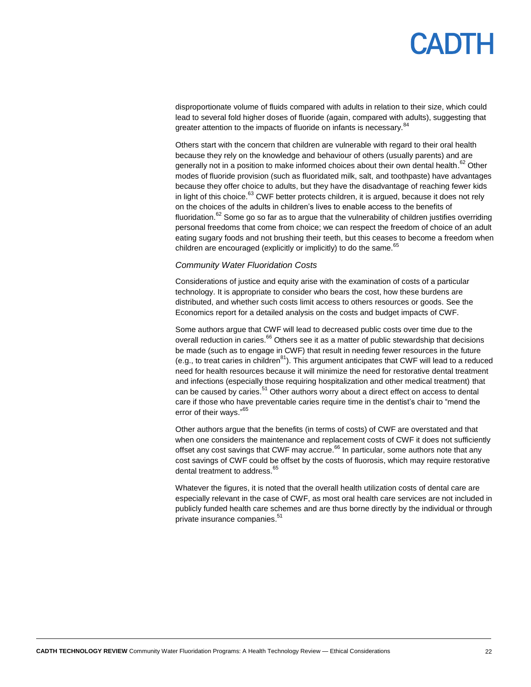## PANTH

disproportionate volume of fluids compared with adults in relation to their size, which could lead to several fold higher doses of fluoride (again, compared with adults), suggesting that greater attention to the impacts of fluoride on infants is necessary.<sup>84</sup>

Others start with the concern that children are vulnerable with regard to their oral health because they rely on the knowledge and behaviour of others (usually parents) and are generally not in a position to make informed choices about their own dental health.<sup>62</sup> Other modes of fluoride provision (such as fluoridated milk, salt, and toothpaste) have advantages because they offer choice to adults, but they have the disadvantage of reaching fewer kids in light of this choice. $^{63}$  CWF better protects children, it is argued, because it does not rely on the choices of the adults in children's lives to enable access to the benefits of fluoridation.<sup>62</sup> Some go so far as to argue that the vulnerability of children justifies overriding personal freedoms that come from choice; we can respect the freedom of choice of an adult eating sugary foods and not brushing their teeth, but this ceases to become a freedom when children are encouraged (explicitly or implicitly) to do the same.<sup>65</sup>

#### *Community Water Fluoridation Costs*

Considerations of justice and equity arise with the examination of costs of a particular technology. It is appropriate to consider who bears the cost, how these burdens are distributed, and whether such costs limit access to others resources or goods. See the Economics report for a detailed analysis on the costs and budget impacts of CWF.

Some authors argue that CWF will lead to decreased public costs over time due to the overall reduction in caries.<sup>66</sup> Others see it as a matter of public stewardship that decisions be made (such as to engage in CWF) that result in needing fewer resources in the future (e.g., to treat caries in children $81$ ). This argument anticipates that CWF will lead to a reduced need for health resources because it will minimize the need for restorative dental treatment and infections (especially those requiring hospitalization and other medical treatment) that can be caused by caries.<sup>51</sup> Other authors worry about a direct effect on access to dental care if those who have preventable caries require time in the dentist's chair to "mend the error of their ways."<sup>65</sup>

Other authors argue that the benefits (in terms of costs) of CWF are overstated and that when one considers the maintenance and replacement costs of CWF it does not sufficiently offset any cost savings that CWF may accrue. $66$  In particular, some authors note that any cost savings of CWF could be offset by the costs of fluorosis, which may require restorative dental treatment to address.<sup>65</sup>

Whatever the figures, it is noted that the overall health utilization costs of dental care are especially relevant in the case of CWF, as most oral health care services are not included in publicly funded health care schemes and are thus borne directly by the individual or through private insurance companies. 51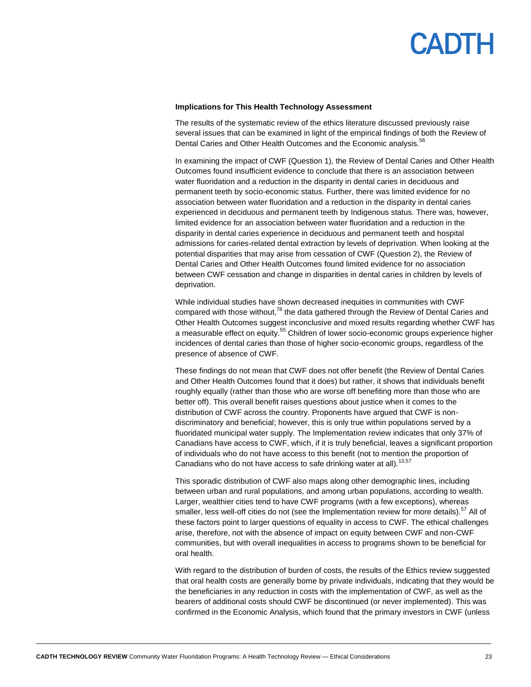

#### **Implications for This Health Technology Assessment**

The results of the systematic review of the ethics literature discussed previously raise several issues that can be examined in light of the empirical findings of both the Review of Dental Caries and Other Health Outcomes and the Economic analysis.<sup>56</sup>

In examining the impact of CWF (Question 1), the Review of Dental Caries and Other Health Outcomes found insufficient evidence to conclude that there is an association between water fluoridation and a reduction in the disparity in dental caries in deciduous and permanent teeth by socio-economic status. Further, there was limited evidence for no association between water fluoridation and a reduction in the disparity in dental caries experienced in deciduous and permanent teeth by Indigenous status. There was, however, limited evidence for an association between water fluoridation and a reduction in the disparity in dental caries experience in deciduous and permanent teeth and hospital admissions for caries-related dental extraction by levels of deprivation. When looking at the potential disparities that may arise from cessation of CWF (Question 2), the Review of Dental Caries and Other Health Outcomes found limited evidence for no association between CWF cessation and change in disparities in dental caries in children by levels of deprivation.

While individual studies have shown decreased inequities in communities with CWF compared with those without, $7^8$  the data gathered through the Review of Dental Caries and Other Health Outcomes suggest inconclusive and mixed results regarding whether CWF has a measurable effect on equity.<sup>55</sup> Children of lower socio-economic groups experience higher incidences of dental caries than those of higher socio-economic groups, regardless of the presence of absence of CWF.

These findings do not mean that CWF does not offer benefit (the Review of Dental Caries and Other Health Outcomes found that it does) but rather, it shows that individuals benefit roughly equally (rather than those who are worse off benefiting more than those who are better off). This overall benefit raises questions about justice when it comes to the distribution of CWF across the country. Proponents have argued that CWF is nondiscriminatory and beneficial; however, this is only true within populations served by a fluoridated municipal water supply. The Implementation review indicates that only 37% of Canadians have access to CWF, which, if it is truly beneficial, leaves a significant proportion of individuals who do not have access to this benefit (not to mention the proportion of Canadians who do not have access to safe drinking water at all).<sup>13,57</sup>

This sporadic distribution of CWF also maps along other demographic lines, including between urban and rural populations, and among urban populations, according to wealth. Larger, wealthier cities tend to have CWF programs (with a few exceptions), whereas smaller, less well-off cities do not (see the Implementation review for more details).<sup>57</sup> All of these factors point to larger questions of equality in access to CWF. The ethical challenges arise, therefore, not with the absence of impact on equity between CWF and non-CWF communities, but with overall inequalities in access to programs shown to be beneficial for oral health.

With regard to the distribution of burden of costs, the results of the Ethics review suggested that oral health costs are generally borne by private individuals, indicating that they would be the beneficiaries in any reduction in costs with the implementation of CWF, as well as the bearers of additional costs should CWF be discontinued (or never implemented). This was confirmed in the Economic Analysis, which found that the primary investors in CWF (unless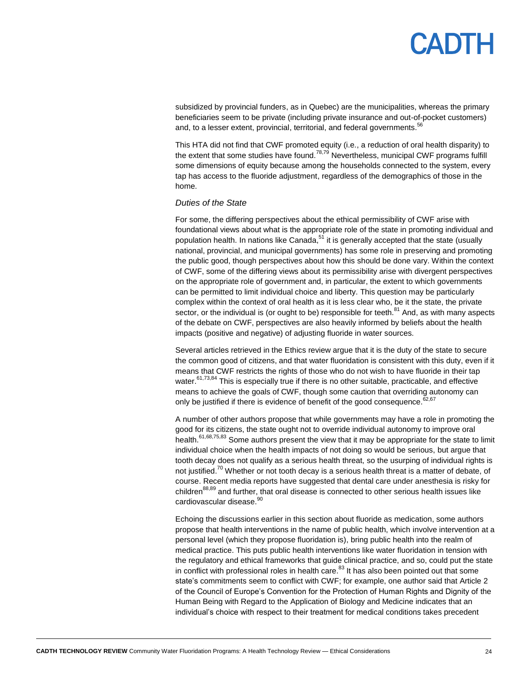subsidized by provincial funders, as in Quebec) are the municipalities, whereas the primary beneficiaries seem to be private (including private insurance and out-of-pocket customers) and, to a lesser extent, provincial, territorial, and federal governments.<sup>51</sup>

This HTA did not find that CWF promoted equity (i.e., a reduction of oral health disparity) to the extent that some studies have found. $^{78,79}$  Nevertheless, municipal CWF programs fulfill some dimensions of equity because among the households connected to the system, every tap has access to the fluoride adjustment, regardless of the demographics of those in the home.

#### *Duties of the State*

For some, the differing perspectives about the ethical permissibility of CWF arise with foundational views about what is the appropriate role of the state in promoting individual and population health. In nations like Canada,<sup>51</sup> it is generally accepted that the state (usually national, provincial, and municipal governments) has some role in preserving and promoting the public good, though perspectives about how this should be done vary. Within the context of CWF, some of the differing views about its permissibility arise with divergent perspectives on the appropriate role of government and, in particular, the extent to which governments can be permitted to limit individual choice and liberty. This question may be particularly complex within the context of oral health as it is less clear who, be it the state, the private sector, or the individual is (or ought to be) responsible for teeth. $81$  And, as with many aspects of the debate on CWF, perspectives are also heavily informed by beliefs about the health impacts (positive and negative) of adjusting fluoride in water sources.

Several articles retrieved in the Ethics review argue that it is the duty of the state to secure the common good of citizens, and that water fluoridation is consistent with this duty, even if it means that CWF restricts the rights of those who do not wish to have fluoride in their tap water.<sup>61,73,84</sup> This is especially true if there is no other suitable, practicable, and effective means to achieve the goals of CWF, though some caution that overriding autonomy can only be justified if there is evidence of benefit of the good consequence.  $62,67$ 

A number of other authors propose that while governments may have a role in promoting the good for its citizens, the state ought not to override individual autonomy to improve oral health.<sup>61,68,75,83</sup> Some authors present the view that it may be appropriate for the state to limit individual choice when the health impacts of not doing so would be serious, but argue that tooth decay does not qualify as a serious health threat, so the usurping of individual rights is not justified.<sup>70</sup> Whether or not tooth decay is a serious health threat is a matter of debate, of course. Recent media reports have suggested that dental care under anesthesia is risky for children<sup>88,89</sup> and further, that oral disease is connected to other serious health issues like cardiovascular disease.<sup>90</sup>

Echoing the discussions earlier in this section about fluoride as medication, some authors propose that health interventions in the name of public health, which involve intervention at a personal level (which they propose fluoridation is), bring public health into the realm of medical practice. This puts public health interventions like water fluoridation in tension with the regulatory and ethical frameworks that guide clinical practice, and so, could put the state in conflict with professional roles in health care.<sup>83</sup> It has also been pointed out that some state's commitments seem to conflict with CWF; for example, one author said that Article 2 of the Council of Europe's Convention for the Protection of Human Rights and Dignity of the Human Being with Regard to the Application of Biology and Medicine indicates that an individual's choice with respect to their treatment for medical conditions takes precedent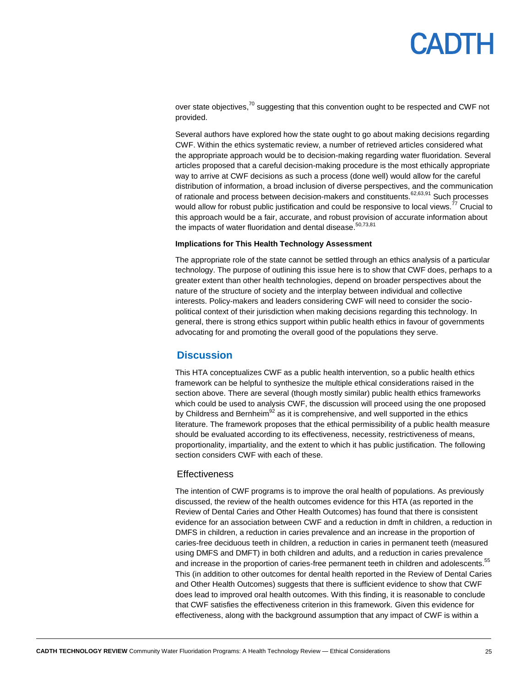over state objectives,<sup>70</sup> suggesting that this convention ought to be respected and CWF not provided.

Several authors have explored how the state ought to go about making decisions regarding CWF. Within the ethics systematic review, a number of retrieved articles considered what the appropriate approach would be to decision-making regarding water fluoridation. Several articles proposed that a careful decision-making procedure is the most ethically appropriate way to arrive at CWF decisions as such a process (done well) would allow for the careful distribution of information, a broad inclusion of diverse perspectives, and the communication of rationale and process between decision-makers and constituents.<sup>62,63,91</sup> Such processes would allow for robust public justification and could be responsive to local views.<sup>77</sup> Crucial to this approach would be a fair, accurate, and robust provision of accurate information about the impacts of water fluoridation and dental disease.<sup>50,73,81</sup>

#### **Implications for This Health Technology Assessment**

The appropriate role of the state cannot be settled through an ethics analysis of a particular technology. The purpose of outlining this issue here is to show that CWF does, perhaps to a greater extent than other health technologies, depend on broader perspectives about the nature of the structure of society and the interplay between individual and collective interests. Policy-makers and leaders considering CWF will need to consider the sociopolitical context of their jurisdiction when making decisions regarding this technology. In general, there is strong ethics support within public health ethics in favour of governments advocating for and promoting the overall good of the populations they serve.

#### <span id="page-24-0"></span>**Discussion**

This HTA conceptualizes CWF as a public health intervention, so a public health ethics framework can be helpful to synthesize the multiple ethical considerations raised in the section above. There are several (though mostly similar) public health ethics frameworks which could be used to analysis CWF, the discussion will proceed using the one proposed by Childress and Bernheim<sup>92</sup> as it is comprehensive, and well supported in the ethics literature. The framework proposes that the ethical permissibility of a public health measure should be evaluated according to its effectiveness, necessity, restrictiveness of means, proportionality, impartiality, and the extent to which it has public justification. The following section considers CWF with each of these.

#### **Effectiveness**

The intention of CWF programs is to improve the oral health of populations. As previously discussed, the review of the health outcomes evidence for this HTA (as reported in the Review of Dental Caries and Other Health Outcomes) has found that there is consistent evidence for an association between CWF and a reduction in dmft in children, a reduction in DMFS in children, a reduction in caries prevalence and an increase in the proportion of caries-free deciduous teeth in children, a reduction in caries in permanent teeth (measured using DMFS and DMFT) in both children and adults, and a reduction in caries prevalence and increase in the proportion of caries-free permanent teeth in children and adolescents.<sup>55</sup> This (in addition to other outcomes for dental health reported in the Review of Dental Caries and Other Health Outcomes) suggests that there is sufficient evidence to show that CWF does lead to improved oral health outcomes. With this finding, it is reasonable to conclude that CWF satisfies the effectiveness criterion in this framework. Given this evidence for effectiveness, along with the background assumption that any impact of CWF is within a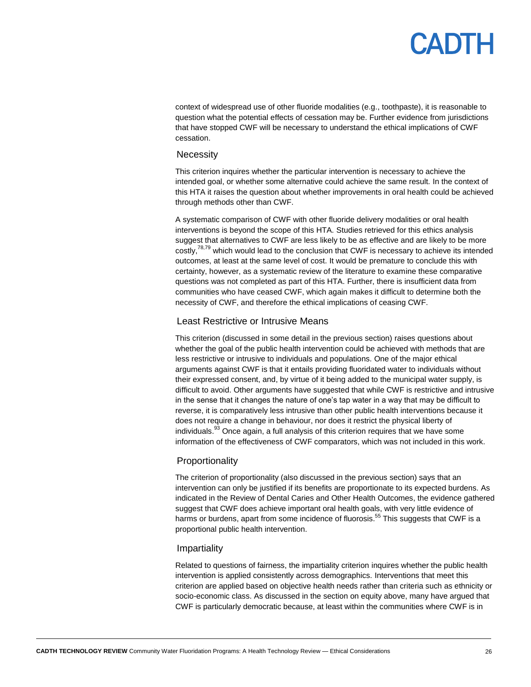context of widespread use of other fluoride modalities (e.g., toothpaste), it is reasonable to question what the potential effects of cessation may be. Further evidence from jurisdictions that have stopped CWF will be necessary to understand the ethical implications of CWF cessation.

#### **Necessity**

This criterion inquires whether the particular intervention is necessary to achieve the intended goal, or whether some alternative could achieve the same result. In the context of this HTA it raises the question about whether improvements in oral health could be achieved through methods other than CWF.

A systematic comparison of CWF with other fluoride delivery modalities or oral health interventions is beyond the scope of this HTA. Studies retrieved for this ethics analysis suggest that alternatives to CWF are less likely to be as effective and are likely to be more costly,<sup>78,79</sup> which would lead to the conclusion that CWF is necessary to achieve its intended outcomes, at least at the same level of cost. It would be premature to conclude this with certainty, however, as a systematic review of the literature to examine these comparative questions was not completed as part of this HTA. Further, there is insufficient data from communities who have ceased CWF, which again makes it difficult to determine both the necessity of CWF, and therefore the ethical implications of ceasing CWF.

#### Least Restrictive or Intrusive Means

This criterion (discussed in some detail in the previous section) raises questions about whether the goal of the public health intervention could be achieved with methods that are less restrictive or intrusive to individuals and populations. One of the major ethical arguments against CWF is that it entails providing fluoridated water to individuals without their expressed consent, and, by virtue of it being added to the municipal water supply, is difficult to avoid. Other arguments have suggested that while CWF is restrictive and intrusive in the sense that it changes the nature of one's tap water in a way that may be difficult to reverse, it is comparatively less intrusive than other public health interventions because it does not require a change in behaviour, nor does it restrict the physical liberty of individuals. $^{33}$  Once again, a full analysis of this criterion requires that we have some information of the effectiveness of CWF comparators, which was not included in this work.

#### Proportionality

The criterion of proportionality (also discussed in the previous section) says that an intervention can only be justified if its benefits are proportionate to its expected burdens. As indicated in the Review of Dental Caries and Other Health Outcomes, the evidence gathered suggest that CWF does achieve important oral health goals, with very little evidence of harms or burdens, apart from some incidence of fluorosis.<sup>55</sup> This suggests that CWF is a proportional public health intervention.

#### Impartiality

Related to questions of fairness, the impartiality criterion inquires whether the public health intervention is applied consistently across demographics. Interventions that meet this criterion are applied based on objective health needs rather than criteria such as ethnicity or socio-economic class. As discussed in the section on equity above, many have argued that CWF is particularly democratic because, at least within the communities where CWF is in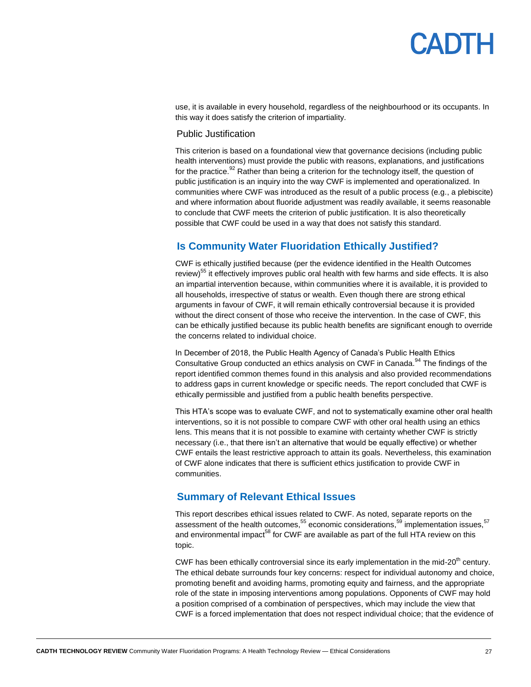## **ANTE**

use, it is available in every household, regardless of the neighbourhood or its occupants. In this way it does satisfy the criterion of impartiality.

#### Public Justification

This criterion is based on a foundational view that governance decisions (including public health interventions) must provide the public with reasons, explanations, and justifications for the practice.<sup>92</sup> Rather than being a criterion for the technology itself, the question of public justification is an inquiry into the way CWF is implemented and operationalized. In communities where CWF was introduced as the result of a public process (e.g., a plebiscite) and where information about fluoride adjustment was readily available, it seems reasonable to conclude that CWF meets the criterion of public justification. It is also theoretically possible that CWF could be used in a way that does not satisfy this standard.

### <span id="page-26-0"></span>**Is Community Water Fluoridation Ethically Justified?**

CWF is ethically justified because (per the evidence identified in the Health Outcomes review)<sup>55</sup> it effectively improves public oral health with few harms and side effects. It is also an impartial intervention because, within communities where it is available, it is provided to all households, irrespective of status or wealth. Even though there are strong ethical arguments in favour of CWF, it will remain ethically controversial because it is provided without the direct consent of those who receive the intervention. In the case of CWF, this can be ethically justified because its public health benefits are significant enough to override the concerns related to individual choice.

In December of 2018, the Public Health Agency of Canada's Public Health Ethics Consultative Group conducted an ethics analysis on CWF in Canada.<sup>94</sup> The findings of the report identified common themes found in this analysis and also provided recommendations to address gaps in current knowledge or specific needs. The report concluded that CWF is ethically permissible and justified from a public health benefits perspective.

This HTA's scope was to evaluate CWF, and not to systematically examine other oral health interventions, so it is not possible to compare CWF with other oral health using an ethics lens. This means that it is not possible to examine with certainty whether CWF is strictly necessary (i.e., that there isn't an alternative that would be equally effective) or whether CWF entails the least restrictive approach to attain its goals. Nevertheless, this examination of CWF alone indicates that there is sufficient ethics justification to provide CWF in communities.

### <span id="page-26-1"></span>**Summary of Relevant Ethical Issues**

This report describes ethical issues related to CWF. As noted, separate reports on the assessment of the health outcomes, $^{55}$  economic considerations, $^{59}$  implementation issues, $^{57}$ and environmental impact<sup>58</sup> for CWF are available as part of the full HTA review on this topic.

CWF has been ethically controversial since its early implementation in the mid-20<sup>th</sup> century. The ethical debate surrounds four key concerns: respect for individual autonomy and choice, promoting benefit and avoiding harms, promoting equity and fairness, and the appropriate role of the state in imposing interventions among populations. Opponents of CWF may hold a position comprised of a combination of perspectives, which may include the view that CWF is a forced implementation that does not respect individual choice; that the evidence of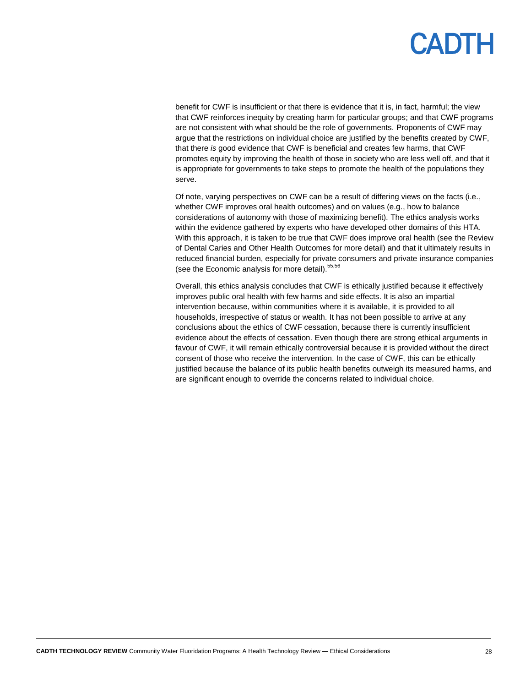benefit for CWF is insufficient or that there is evidence that it is, in fact, harmful; the view that CWF reinforces inequity by creating harm for particular groups; and that CWF programs are not consistent with what should be the role of governments. Proponents of CWF may argue that the restrictions on individual choice are justified by the benefits created by CWF, that there *is* good evidence that CWF is beneficial and creates few harms, that CWF promotes equity by improving the health of those in society who are less well off, and that it is appropriate for governments to take steps to promote the health of the populations they serve.

Of note, varying perspectives on CWF can be a result of differing views on the facts (i.e., whether CWF improves oral health outcomes) and on values (e.g., how to balance considerations of autonomy with those of maximizing benefit). The ethics analysis works within the evidence gathered by experts who have developed other domains of this HTA. With this approach, it is taken to be true that CWF does improve oral health (see the Review of Dental Caries and Other Health Outcomes for more detail) and that it ultimately results in reduced financial burden, especially for private consumers and private insurance companies (see the Economic analysis for more detail). 55,56

Overall, this ethics analysis concludes that CWF is ethically justified because it effectively improves public oral health with few harms and side effects. It is also an impartial intervention because, within communities where it is available, it is provided to all households, irrespective of status or wealth. It has not been possible to arrive at any conclusions about the ethics of CWF cessation, because there is currently insufficient evidence about the effects of cessation. Even though there are strong ethical arguments in favour of CWF, it will remain ethically controversial because it is provided without the direct consent of those who receive the intervention. In the case of CWF, this can be ethically justified because the balance of its public health benefits outweigh its measured harms, and are significant enough to override the concerns related to individual choice.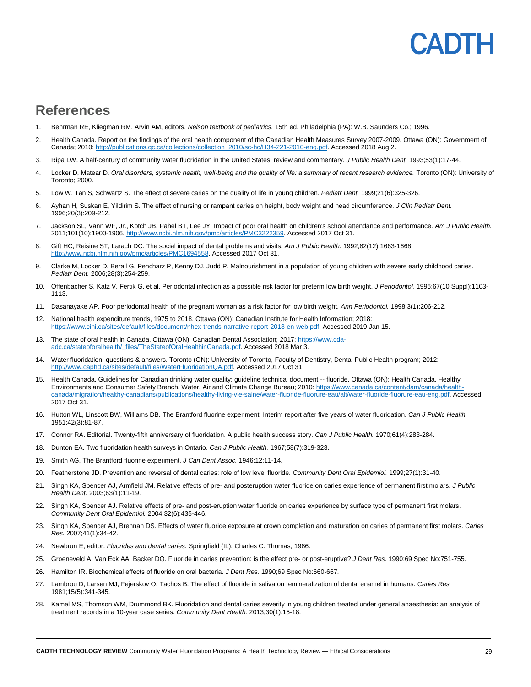### **ADIL**

### <span id="page-28-0"></span>**References**

- 1. Behrman RE, Kliegman RM, Arvin AM, editors. *Nelson textbook of pediatrics.* 15th ed. Philadelphia (PA): W.B. Saunders Co.; 1996.
- 2. Health Canada. Report on the findings of the oral health component of the Canadian Health Measures Survey 2007-2009. Ottawa (ON): Government of Canada; 2010[: http://publications.gc.ca/collections/collection\\_2010/sc-hc/H34-221-2010-eng.pdf.](http://publications.gc.ca/collections/collection_2010/sc-hc/H34-221-2010-eng.pdf) Accessed 2018 Aug 2.
- 3. Ripa LW. A half-century of community water fluoridation in the United States: review and commentary. *J Public Health Dent.* 1993;53(1):17-44.
- 4. Locker D, Matear D. *Oral disorders, systemic health, well-being and the quality of life: a summary of recent research evidence.* Toronto (ON): University of Toronto; 2000.
- 5. Low W, Tan S, Schwartz S. The effect of severe caries on the quality of life in young children. *Pediatr Dent.* 1999;21(6):325-326.
- 6. Ayhan H, Suskan E, Yildirim S. The effect of nursing or rampant caries on height, body weight and head circumference. *J Clin Pediatr Dent.*  1996;20(3):209-212.
- 7. Jackson SL, Vann WF, Jr., Kotch JB, Pahel BT, Lee JY. Impact of poor oral health on children's school attendance and performance. *Am J Public Health.*  2011;101(10):1900-1906. [http://www.ncbi.nlm.nih.gov/pmc/articles/PMC3222359.](http://www.ncbi.nlm.nih.gov/pmc/articles/PMC3222359) Accessed 2017 Oct 31.
- 8. Gift HC, Reisine ST, Larach DC. The social impact of dental problems and visits. *Am J Public Health.* 1992;82(12):1663-1668. [http://www.ncbi.nlm.nih.gov/pmc/articles/PMC1694558.](http://www.ncbi.nlm.nih.gov/pmc/articles/PMC1694558) Accessed 2017 Oct 31.
- 9. Clarke M, Locker D, Berall G, Pencharz P, Kenny DJ, Judd P. Malnourishment in a population of young children with severe early childhood caries. *Pediatr Dent.* 2006;28(3):254-259.
- 10. Offenbacher S, Katz V, Fertik G, et al. Periodontal infection as a possible risk factor for preterm low birth weight. *J Periodontol.* 1996;67(10 Suppl):1103- 1113.
- 11. Dasanayake AP. Poor periodontal health of the pregnant woman as a risk factor for low birth weight. *Ann Periodontol.* 1998;3(1):206-212.
- 12. National health expenditure trends, 1975 to 2018. Ottawa (ON): Canadian Institute for Health Information; 2018: [https://www.cihi.ca/sites/default/files/document/nhex-trends-narrative-report-2018-en-web.pdf.](https://www.cihi.ca/sites/default/files/document/nhex-trends-narrative-report-2018-en-web.pdf) Accessed 2019 Jan 15.
- 13. The state of oral health in Canada. Ottawa (ON): Canadian Dental Association; 2017: [https://www.cda](https://www.cda-adc.ca/stateoforalhealth/_files/TheStateofOralHealthinCanada.pdf)[adc.ca/stateoforalhealth/\\_files/TheStateofOralHealthinCanada.pdf.](https://www.cda-adc.ca/stateoforalhealth/_files/TheStateofOralHealthinCanada.pdf) Accessed 2018 Mar 3.
- 14. Water fluoridation: questions & answers. Toronto (ON): University of Toronto, Faculty of Dentistry, Dental Public Health program; 2012: [http://www.caphd.ca/sites/default/files/WaterFluoridationQA.pdf.](http://www.caphd.ca/sites/default/files/WaterFluoridationQA.pdf) Accessed 2017 Oct 31.
- 15. Health Canada. Guidelines for Canadian drinking water quality: guideline technical document -- fluoride. Ottawa (ON): Health Canada, Healthy Environments and Consumer Safety Branch, Water, Air and Climate Change Bureau; 2010[: https://www.canada.ca/content/dam/canada/health](https://www.canada.ca/content/dam/canada/health-canada/migration/healthy-canadians/publications/healthy-living-vie-saine/water-fluoride-fluorure-eau/alt/water-fluoride-fluorure-eau-eng.pdf)[canada/migration/healthy-canadians/publications/healthy-living-vie-saine/water-fluoride-fluorure-eau/alt/water-fluoride-fluorure-eau-eng.pdf.](https://www.canada.ca/content/dam/canada/health-canada/migration/healthy-canadians/publications/healthy-living-vie-saine/water-fluoride-fluorure-eau/alt/water-fluoride-fluorure-eau-eng.pdf) Accessed 2017 Oct 31.
- 16. Hutton WL, Linscott BW, Williams DB. The Brantford fluorine experiment. Interim report after five years of water fluoridation. *Can J Public Health.*  1951;42(3):81-87.
- 17. Connor RA. Editorial. Twenty-fifth anniversary of fluoridation. A public health success story. *Can J Public Health.* 1970;61(4):283-284.
- 18. Dunton EA. Two fluoridation health surveys in Ontario. *Can J Public Health.* 1967;58(7):319-323.
- 19. Smith AG. The Brantford fluorine experiment. *J Can Dent Assoc.* 1946;12:11-14.
- 20. Featherstone JD. Prevention and reversal of dental caries: role of low level fluoride. *Community Dent Oral Epidemiol.* 1999;27(1):31-40.
- 21. Singh KA, Spencer AJ, Armfield JM. Relative effects of pre- and posteruption water fluoride on caries experience of permanent first molars. *J Public Health Dent.* 2003;63(1):11-19.
- 22. Singh KA, Spencer AJ. Relative effects of pre- and post-eruption water fluoride on caries experience by surface type of permanent first molars. *Community Dent Oral Epidemiol.* 2004;32(6):435-446.
- 23. Singh KA, Spencer AJ, Brennan DS. Effects of water fluoride exposure at crown completion and maturation on caries of permanent first molars. *Caries Res.* 2007;41(1):34-42.
- 24. Newbrun E, editor. *Fluorides and dental caries.* Springfield (IL): Charles C. Thomas; 1986.
- 25. Groeneveld A, Van Eck AA, Backer DO. Fluoride in caries prevention: is the effect pre- or post-eruptive? *J Dent Res.* 1990;69 Spec No:751-755.
- 26. Hamilton IR. Biochemical effects of fluoride on oral bacteria. *J Dent Res.* 1990;69 Spec No:660-667.
- 27. Lambrou D, Larsen MJ, Fejerskov O, Tachos B. The effect of fluoride in saliva on remineralization of dental enamel in humans. *Caries Res.*  1981;15(5):341-345.
- 28. Kamel MS, Thomson WM, Drummond BK. Fluoridation and dental caries severity in young children treated under general anaesthesia: an analysis of treatment records in a 10-year case series. *Community Dent Health.* 2013;30(1):15-18.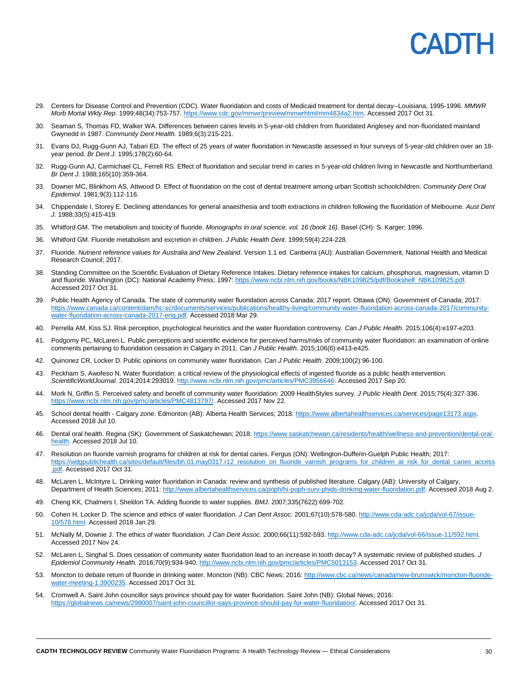## EADH

- 29. Centers for Disease Control and Prevention (CDC). Water fluoridation and costs of Medicaid treatment for dental decay--Louisiana, 1995-1996. *MMWR Morb Mortal Wkly Rep.* 1999;48(34):753-757[. https://www.cdc.gov/mmwr/preview/mmwrhtml/mm4834a2.htm.](https://www.cdc.gov/mmwr/preview/mmwrhtml/mm4834a2.htm) Accessed 2017 Oct 31.
- 30. Seaman S, Thomas FD, Walker WA. Differences between caries levels in 5-year-old children from fluoridated Anglesey and non-fluoridated mainland Gwynedd in 1987. *Community Dent Health.* 1989;6(3):215-221.
- 31. Evans DJ, Rugg-Gunn AJ, Tabari ED. The effect of 25 years of water fluoridation in Newcastle assessed in four surveys of 5-year-old children over an 18 year period. *Br Dent J.* 1995;178(2):60-64.
- 32. Rugg-Gunn AJ, Carmichael CL, Ferrell RS. Effect of fluoridation and secular trend in caries in 5-year-old children living in Newcastle and Northumberland. *Br Dent J.* 1988;165(10):359-364.
- 33. Downer MC, Blinkhorn AS, Attwood D. Effect of fluoridation on the cost of dental treatment among urban Scottish schoolchildren. *Community Dent Oral Epidemiol.* 1981;9(3):112-116.
- 34. Chippendale I, Storey E. Declining attendances for general anaesthesia and tooth extractions in children following the fluoridation of Melbourne. *Aust Dent J.* 1988;33(5):415-419.
- 35. Whitford GM. The metabolism and toxicity of fluoride. *Monographs in oral science, vol. 16 (book 16)*. Basel (CH): S. Karger; 1996.
- 36. Whitford GM. Fluoride metabolism and excretion in children. *J Public Health Dent.* 1999;59(4):224-228.
- 37. Fluoride. *Nutrient reference values for Australia and New Zealand*. Version 1.1 ed. Canberra (AU): Australian Government, National Health and Medical Research Council; 2017.
- 38. Standing Committee on the Scientific Evaluation of Dietary Reference Intakes. Dietary reference intakes for calcium, phosphorus, magnesium, vitamin D and fluoride. Washington (DC): National Academy Press; 1997: https://www.ncbi.nlm.nih.gov/books/NBK109825/pdf/Bookshelf\_NBK109825.pdf. Accessed 2017 Oct 31.
- 39. Public Health Agency of Canada. The state of community water fluoridation across Canada: 2017 report. Ottawa (ON): Government of Canada; 2017: [https://www.canada.ca/content/dam/hc-sc/documents/services/publications/healthy-living/community-water-fluoridation-across-canada-2017/community](https://www.canada.ca/content/dam/hc-sc/documents/services/publications/healthy-living/community-water-fluoridation-across-canada-2017/community-water-fluoridation-across-canada-2017-eng.pdf)[water-fluoridation-across-canada-2017-eng.pdf.](https://www.canada.ca/content/dam/hc-sc/documents/services/publications/healthy-living/community-water-fluoridation-across-canada-2017/community-water-fluoridation-across-canada-2017-eng.pdf) Accessed 2018 Mar 29.
- 40. Perrella AM, Kiss SJ. Risk perception, psychological heuristics and the water fluoridation controversy. *Can J Public Health.* 2015;106(4):e197-e203.
- 41. Podgorny PC, McLaren L. Public perceptions and scientific evidence for perceived harms/risks of community water fluoridation: an examination of online comments pertaining to fluoridation cessation in Calgary in 2011. *Can J Public Health.* 2015;106(6):e413-e425.
- 42. Quinonez CR, Locker D. Public opinions on community water fluoridation. *Can J Public Health.* 2009;100(2):96-100.
- 43. Peckham S, Awofeso N. Water fluoridation: a critical review of the physiological effects of ingested fluoride as a public health intervention. *ScientificWorldJournal.* 2014;2014:293019[. http://www.ncbi.nlm.nih.gov/pmc/articles/PMC3956646.](http://www.ncbi.nlm.nih.gov/pmc/articles/PMC3956646) Accessed 2017 Sep 20.
- 44. Mork N, Griffin S. Perceived safety and benefit of community water fluoridation: 2009 HealthStyles survey. *J Public Health Dent.* 2015;75(4):327-336. [https://www.ncbi.nlm.nih.gov/pmc/articles/PMC4813797/.](https://www.ncbi.nlm.nih.gov/pmc/articles/PMC4813797/) Accessed 2017 Nov 22.
- 45. School dental health Calgary zone. Edmonton (AB): Alberta Health Services; 2018: https://www.albertahealthservices.ca/services/page13173.aspx. Accessed 2018 Jul 10.
- 46. Dental oral health. Regina (SK): Government of Saskatchewan; 2018[: https://www.saskatchewan.ca/residents/health/wellness-and-prevention/dental-oral](https://www.saskatchewan.ca/residents/health/wellness-and-prevention/dental-oral-health)[health.](https://www.saskatchewan.ca/residents/health/wellness-and-prevention/dental-oral-health) Accessed 2018 Jul 10.
- 47. Resolution on fluoride varnish programs for children at risk for dental caries. Fergus (ON): Wellington-Dufferin-Guelph Public Health; 2017: [https://wdgpublichealth.ca/sites/default/files/bh.01.may0317.r12\\_resolution\\_on\\_fluoride\\_varnish\\_programs\\_for\\_children\\_at\\_risk\\_for\\_dental\\_caries\\_access](https://wdgpublichealth.ca/sites/default/files/bh.01.may0317.r12_resolution_on_fluoride_varnish_programs_for_children_at_risk_for_dental_caries_access.pdf) [.pdf.](https://wdgpublichealth.ca/sites/default/files/bh.01.may0317.r12_resolution_on_fluoride_varnish_programs_for_children_at_risk_for_dental_caries_access.pdf) Accessed 2017 Oct 31.
- 48. McLaren L, McIntyre L. Drinking water fluoridation in Canada: review and synthesis of published literature. Calgary (AB): University of Calgary, Department of Health Sciences; 2011: [http://www.albertahealthservices.ca/poph/hi-poph-surv-phids-drinking-water-fluoridation.pdf.](http://www.albertahealthservices.ca/poph/hi-poph-surv-phids-drinking-water-fluoridation.pdf) Accessed 2018 Aug 2.
- 49. Cheng KK, Chalmers I, Sheldon TA. Adding fluoride to water supplies. *BMJ.* 2007;335(7622):699-702.
- 50. Cohen H, Locker D. The science and ethics of water fluoridation. *J Can Dent Assoc.* 2001;67(10):578-580. [http://www.cda-adc.ca/jcda/vol-67/issue-](http://www.cda-adc.ca/jcda/vol-67/issue-10/578.html)[10/578.html.](http://www.cda-adc.ca/jcda/vol-67/issue-10/578.html) Accessed 2018 Jan 29.
- 51. McNally M, Downie J. The ethics of water fluoridation. *J Can Dent Assoc.* 2000;66(11):592-593. [http://www.cda-adc.ca/jcda/vol-66/issue-11/592.html.](http://www.cda-adc.ca/jcda/vol-66/issue-11/592.html)  Accessed 2017 Nov 24.
- 52. McLaren L, Singhal S. Does cessation of community water fluoridation lead to an increase in tooth decay? A systematic review of published studies. *J Epidemiol Community Health.* 2016;70(9):934-940. [http://www.ncbi.nlm.nih.gov/pmc/articles/PMC5013153.](http://www.ncbi.nlm.nih.gov/pmc/articles/PMC5013153) Accessed 2017 Oct 31.
- 53. Moncton to debate return of fluoride in drinking water. Moncton (NB): CBC News; 2016: [http://www.cbc.ca/news/canada/new-brunswick/moncton-fluoride](http://www.cbc.ca/news/canada/new-brunswick/moncton-fluoride-water-meeting-1.3900235)[water-meeting-1.3900235.](http://www.cbc.ca/news/canada/new-brunswick/moncton-fluoride-water-meeting-1.3900235) Accessed 2017 Oct 31.
- 54. Cromwell A. Saint John councillor says province should pay for water fluoridation. Saint John (NB): Global News; 2016: [https://globalnews.ca/news/2980007/saint-john-councillor-says-province-should-pay-for-water-fluoridation/.](https://globalnews.ca/news/2980007/saint-john-councillor-says-province-should-pay-for-water-fluoridation/) Accessed 2017 Oct 31.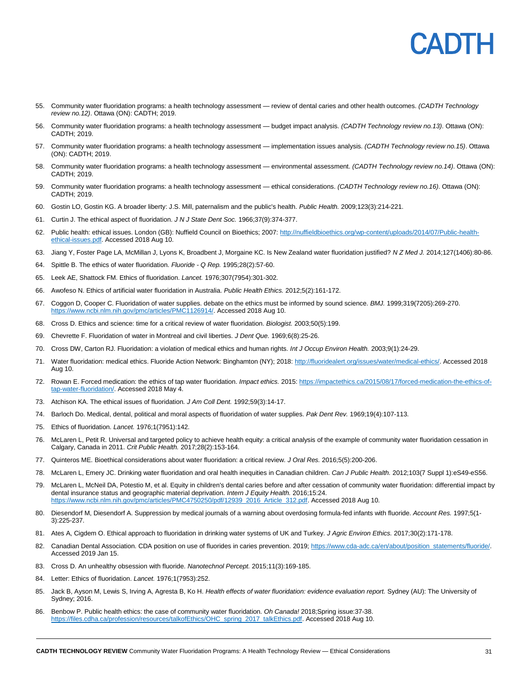

- 55. Community water fluoridation programs: a health technology assessment review of dental caries and other health outcomes. *(CADTH Technology review no.12)*. Ottawa (ON): CADTH; 2019.
- 56. Community water fluoridation programs: a health technology assessment budget impact analysis. *(CADTH Technology review no.13)*. Ottawa (ON): CADTH; 2019.
- 57. Community water fluoridation programs: a health technology assessment implementation issues analysis. *(CADTH Technology review no.15)*. Ottawa (ON): CADTH; 2019.
- 58. Community water fluoridation programs: a health technology assessment environmental assessment. *(CADTH Technology review no.14)*. Ottawa (ON): CADTH; 2019.
- 59. Community water fluoridation programs: a health technology assessment ethical considerations. *(CADTH Technology review no.16)*. Ottawa (ON): CADTH; 2019.
- 60. Gostin LO, Gostin KG. A broader liberty: J.S. Mill, paternalism and the public's health. *Public Health.* 2009;123(3):214-221.
- 61. Curtin J. The ethical aspect of fluoridation. *J N J State Dent Soc.* 1966;37(9):374-377.
- 62. Public health: ethical issues. London (GB): Nuffield Council on Bioethics; 2007: [http://nuffieldbioethics.org/wp-content/uploads/2014/07/Public-health](http://nuffieldbioethics.org/wp-content/uploads/2014/07/Public-health-ethical-issues.pdf)[ethical-issues.pdf.](http://nuffieldbioethics.org/wp-content/uploads/2014/07/Public-health-ethical-issues.pdf) Accessed 2018 Aug 10.
- 63. Jiang Y, Foster Page LA, McMillan J, Lyons K, Broadbent J, Morgaine KC. Is New Zealand water fluoridation justified? *N Z Med J.* 2014;127(1406):80-86.
- 64. Spittle B. The ethics of water fluoridation. *Fluoride - Q Rep.* 1995;28(2):57-60.
- 65. Leek AE, Shattock FM. Ethics of fluoridation. *Lancet.* 1976;307(7954):301-302.
- 66. Awofeso N. Ethics of artificial water fluoridation in Australia. *Public Health Ethics.* 2012;5(2):161-172.
- 67. Coggon D, Cooper C. Fluoridation of water supplies. debate on the ethics must be informed by sound science. *BMJ.* 1999;319(7205):269-270. www.ncbi.nlm.nih.gov/pmc/articles/PMC1126914/. Accessed 2018 Aug 10.
- 68. Cross D. Ethics and science: time for a critical review of water fluoridation. *Biologist.* 2003;50(5):199.
- 69. Chevrette F. Fluoridation of water in Montreal and civil liberties. *J Dent Que.* 1969;6(8):25-26.
- 70. Cross DW, Carton RJ. Fluoridation: a violation of medical ethics and human rights. *Int J Occup Environ Health.* 2003;9(1):24-29.
- 71. Water fluoridation: medical ethics. Fluoride Action Network: Binghamton (NY); 2018: [http://fluoridealert.org/issues/water/medical-ethics/.](http://fluoridealert.org/issues/water/medical-ethics/) Accessed 2018 Aug 10.
- 72. Rowan E. Forced medication: the ethics of tap water fluoridation. *Impact ethics.* 2015[: https://impactethics.ca/2015/08/17/forced-medication-the-ethics-of](https://impactethics.ca/2015/08/17/forced-medication-the-ethics-of-tap-water-fluoridation/)[tap-water-fluoridation/.](https://impactethics.ca/2015/08/17/forced-medication-the-ethics-of-tap-water-fluoridation/) Accessed 2018 May 4.
- 73. Atchison KA. The ethical issues of fluoridation. *J Am Coll Dent.* 1992;59(3):14-17.
- 74. Barloch Do. Medical, dental, political and moral aspects of fluoridation of water supplies. *Pak Dent Rev.* 1969;19(4):107-113.
- 75. Ethics of fluoridation. *Lancet.* 1976;1(7951):142.
- 76. McLaren L, Petit R. Universal and targeted policy to achieve health equity: a critical analysis of the example of community water fluoridation cessation in Calgary, Canada in 2011. *Crit Public Health.* 2017;28(2):153-164.
- 77. Quinteros ME. Bioethical considerations about water fluoridation: a critical review. *J Oral Res.* 2016;5(5):200-206.
- 78. McLaren L, Emery JC. Drinking water fluoridation and oral health inequities in Canadian children. *Can J Public Health.* 2012;103(7 Suppl 1):eS49-eS56.
- 79. McLaren L, McNeil DA, Potestio M, et al. Equity in children's dental caries before and after cessation of community water fluoridation: differential impact by dental insurance status and geographic material deprivation. *Intern J Equity Health.* 2016;15:24. [https://www.ncbi.nlm.nih.gov/pmc/articles/PMC4750250/pdf/12939\\_2016\\_Article\\_312.pdf.](https://www.ncbi.nlm.nih.gov/pmc/articles/PMC4750250/pdf/12939_2016_Article_312.pdf) Accessed 2018 Aug 10.
- 80. Diesendorf M, Diesendorf A. Suppression by medical journals of a warning about overdosing formula-fed infants with fluoride. *Account Res.* 1997;5(1- 3):225-237.
- 81. Ates A, Cigdem O. Ethical approach to fluoridation in drinking water systems of UK and Turkey. *J Agric Environ Ethics.* 2017;30(2):171-178.
- 82. Canadian Dental Association. CDA position on use of fluorides in caries prevention. 2019; [https://www.cda-adc.ca/en/about/position\\_statements/fluoride/.](https://www.cda-adc.ca/en/about/position_statements/fluoride/) Accessed 2019 Jan 15.
- 83. Cross D. An unhealthy obsession with fluoride. *Nanotechnol Percept.* 2015;11(3):169-185.
- 84. Letter: Ethics of fluoridation. *Lancet.* 1976;1(7953):252.
- 85. Jack B, Ayson M, Lewis S, Irving A, Agresta B, Ko H. *Health effects of water fluoridation: evidence evaluation report.* Sydney (AU): The University of Sydney; 2016.
- 86. Benbow P. Public health ethics: the case of community water fluoridation. *Oh Canada!* 2018;Spring issue:37-38. [https://files.cdha.ca/profession/resources/talkofEthics/OHC\\_spring\\_2017\\_talkEthics.pdf.](https://files.cdha.ca/profession/resources/talkofEthics/OHC_spring_2017_talkEthics.pdf) Accessed 2018 Aug 10.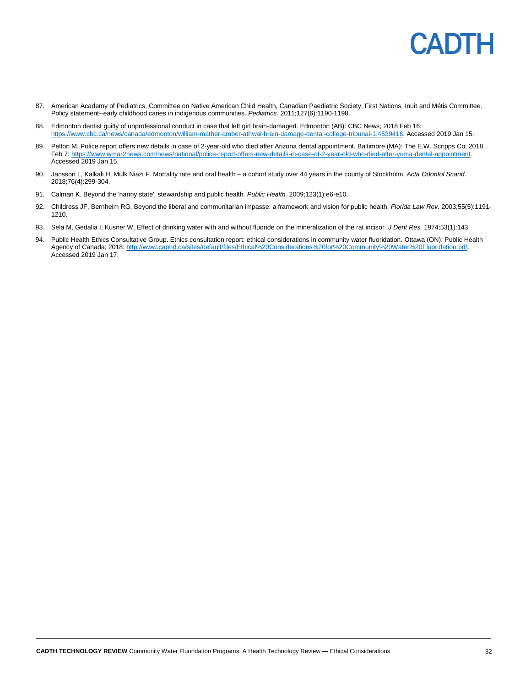- 87. American Academy of Pediatrics, Committee on Native American Child Health, Canadian Paediatric Society, First Nations, Inuit and Métis Committee. Policy statement--early childhood caries in indigenous communities. *Pediatrics.* 2011;127(6):1190-1198.
- 88. Edmonton dentist guilty of unprofessional conduct in case that left girl brain-damaged. Edmonton (AB): CBC News; 2018 Feb 16: [https://www.cbc.ca/news/canada/edmonton/william-mather-amber-athwal-brain-damage-dental-college-tribunal-1.4539416.](https://www.cbc.ca/news/canada/edmonton/william-mather-amber-athwal-brain-damage-dental-college-tribunal-1.4539416) Accessed 2019 Jan 15.
- 89. Pelton M. Police report offers new details in case of 2-year-old who died after Arizona dental appointment. Baltimore (MA): The E.W. Scripps Co; 2018 Feb 7[: https://www.wmar2news.com/news/national/police-report-offers-new-details-in-case-of-2-year-old-who-died-after-yuma-dental-appointment.](https://www.wmar2news.com/news/national/police-report-offers-new-details-in-case-of-2-year-old-who-died-after-yuma-dental-appointment)  Accessed 2019 Jan 15.
- 90. Jansson L, Kalkali H, Mulk Niazi F. Mortality rate and oral health a cohort study over 44 years in the county of Stockholm. *Acta Odontol Scand.*  2018;76(4):299-304.
- 91. Calman K. Beyond the 'nanny state': stewardship and public health. *Public Health.* 2009;123(1):e6-e10.
- 92. Childress JF, Bernheim RG. Beyond the liberal and communitarian impasse: a framework and vision for public health. *Florida Law Rev.* 2003;55(5):1191- 1210.
- 93. Sela M, Gedalia I, Kusner W. Effect of drinking water with and without fluoride on the mineralization of the rat incisor. *J Dent Res.* 1974;53(1):143.
- 94. Public Health Ethics Consultative Group. Ethics consultation report: ethical considerations in community water fluoridation. Ottawa (ON): Public Health Agency of Canada; 2018: [http://www.caphd.ca/sites/default/files/Ethical%20Considerations%20for%20Community%20Water%20Fluoridation.pdf.](http://www.caphd.ca/sites/default/files/Ethical%20Considerations%20for%20Community%20Water%20Fluoridation.pdf) Accessed 2019 Jan 17.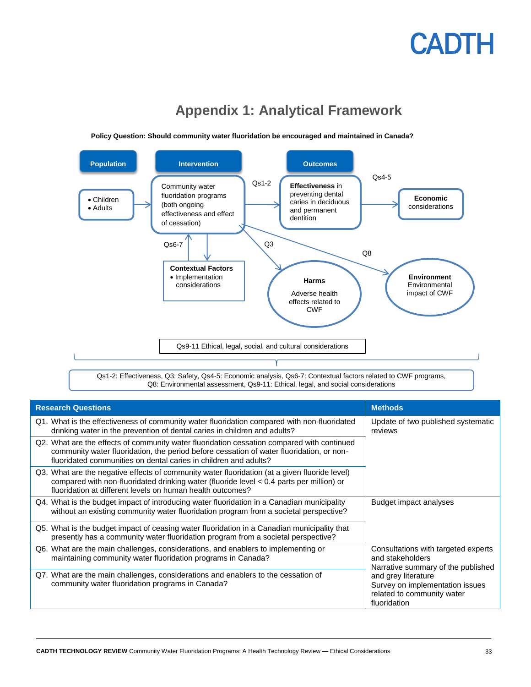<span id="page-32-0"></span>

**Appendix 1: Analytical Framework**

**Policy Question: Should community water fluoridation be encouraged and maintained in Canada?**

| <b>Research Questions</b>                                                                                                                                                                                                                                  | <b>Methods</b>                                                                                       |  |
|------------------------------------------------------------------------------------------------------------------------------------------------------------------------------------------------------------------------------------------------------------|------------------------------------------------------------------------------------------------------|--|
| Q1. What is the effectiveness of community water fluoridation compared with non-fluoridated<br>drinking water in the prevention of dental caries in children and adults?                                                                                   | Update of two published systematic<br>reviews                                                        |  |
| Q2. What are the effects of community water fluoridation cessation compared with continued<br>community water fluoridation, the period before cessation of water fluoridation, or non-<br>fluoridated communities on dental caries in children and adults? |                                                                                                      |  |
| Q3. What are the negative effects of community water fluoridation (at a given fluoride level)<br>compared with non-fluoridated drinking water (fluoride level < 0.4 parts per million) or<br>fluoridation at different levels on human health outcomes?    |                                                                                                      |  |
| Q4. What is the budget impact of introducing water fluoridation in a Canadian municipality<br>without an existing community water fluoridation program from a societal perspective?                                                                        | Budget impact analyses                                                                               |  |
| Q5. What is the budget impact of ceasing water fluoridation in a Canadian municipality that<br>presently has a community water fluoridation program from a societal perspective?                                                                           |                                                                                                      |  |
| Q6. What are the main challenges, considerations, and enablers to implementing or<br>maintaining community water fluoridation programs in Canada?                                                                                                          | Consultations with targeted experts<br>and stakeholders<br>Narrative summary of the published        |  |
| Q7. What are the main challenges, considerations and enablers to the cessation of<br>community water fluoridation programs in Canada?                                                                                                                      | and grey literature<br>Survey on implementation issues<br>related to community water<br>fluoridation |  |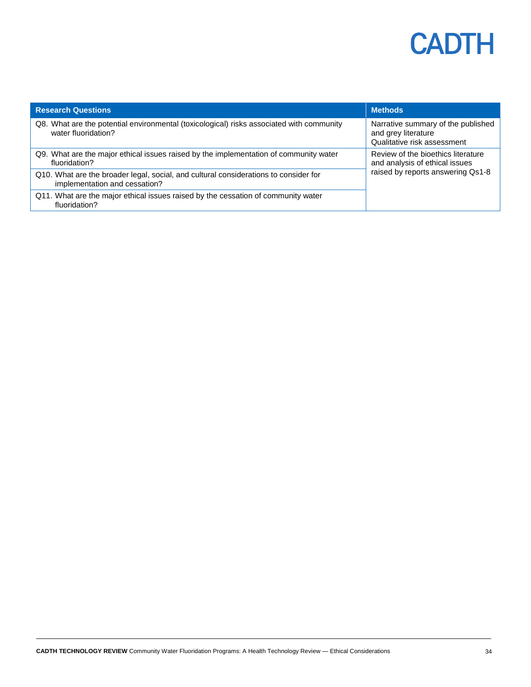| <b>Research Questions</b>                                                                                             | <b>Methods</b>                                                                                            |  |
|-----------------------------------------------------------------------------------------------------------------------|-----------------------------------------------------------------------------------------------------------|--|
| Q8. What are the potential environmental (toxicological) risks associated with community<br>water fluoridation?       | Narrative summary of the published<br>and grey literature<br>Qualitative risk assessment                  |  |
| Q9. What are the major ethical issues raised by the implementation of community water<br>fluoridation?                | Review of the bioethics literature<br>and analysis of ethical issues<br>raised by reports answering Qs1-8 |  |
| Q10. What are the broader legal, social, and cultural considerations to consider for<br>implementation and cessation? |                                                                                                           |  |
| Q11. What are the major ethical issues raised by the cessation of community water<br>fluoridation?                    |                                                                                                           |  |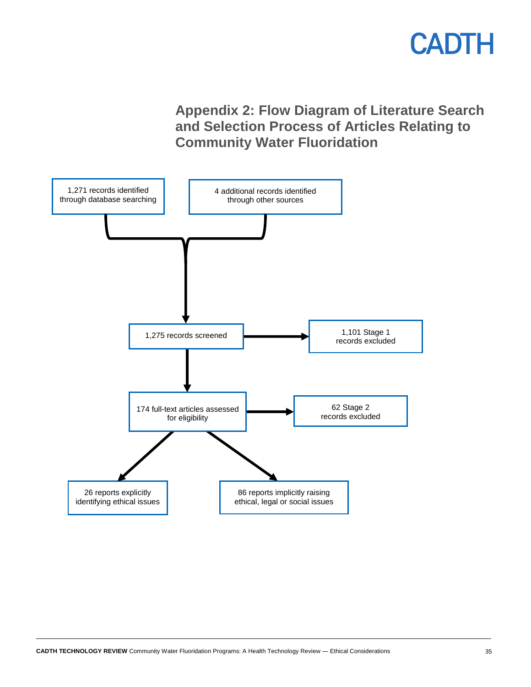

**Appendix 2: Flow Diagram of Literature Search and Selection Process of Articles Relating to Community Water Fluoridation**

<span id="page-34-0"></span>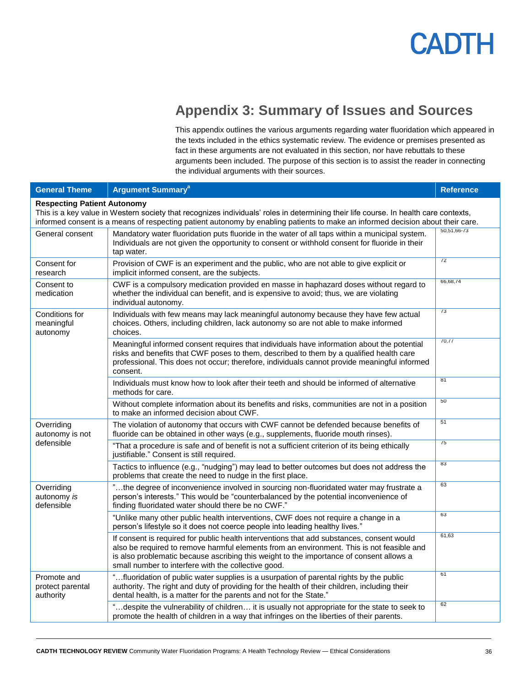

### **Appendix 3: Summary of Issues and Sources**

This appendix outlines the various arguments regarding water fluoridation which appeared in the texts included in the ethics systematic review. The evidence or premises presented as fact in these arguments are not evaluated in this section, nor have rebuttals to these arguments been included. The purpose of this section is to assist the reader in connecting the individual arguments with their sources.

<span id="page-35-0"></span>

| <b>General Theme</b>                                                                                                                                                                                                                                                                                         | <b>Argument Summary<sup>a</sup></b>                                                                                                                                                                                                                                                                                                      | <b>Reference</b> |
|--------------------------------------------------------------------------------------------------------------------------------------------------------------------------------------------------------------------------------------------------------------------------------------------------------------|------------------------------------------------------------------------------------------------------------------------------------------------------------------------------------------------------------------------------------------------------------------------------------------------------------------------------------------|------------------|
| <b>Respecting Patient Autonomy</b><br>This is a key value in Western society that recognizes individuals' roles in determining their life course. In health care contexts,<br>informed consent is a means of respecting patient autonomy by enabling patients to make an informed decision about their care. |                                                                                                                                                                                                                                                                                                                                          |                  |
| General consent                                                                                                                                                                                                                                                                                              | Mandatory water fluoridation puts fluoride in the water of all taps within a municipal system.<br>Individuals are not given the opportunity to consent or withhold consent for fluoride in their<br>tap water.                                                                                                                           | 50,51,66-73      |
| Consent for<br>research                                                                                                                                                                                                                                                                                      | Provision of CWF is an experiment and the public, who are not able to give explicit or<br>implicit informed consent, are the subjects.                                                                                                                                                                                                   | $\overline{72}$  |
| Consent to<br>medication                                                                                                                                                                                                                                                                                     | CWF is a compulsory medication provided en masse in haphazard doses without regard to<br>whether the individual can benefit, and is expensive to avoid; thus, we are violating<br>individual autonomy.                                                                                                                                   | 66,68,74         |
| Conditions for<br>meaningful<br>autonomy                                                                                                                                                                                                                                                                     | Individuals with few means may lack meaningful autonomy because they have few actual<br>choices. Others, including children, lack autonomy so are not able to make informed<br>choices.                                                                                                                                                  | 73               |
|                                                                                                                                                                                                                                                                                                              | Meaningful informed consent requires that individuals have information about the potential<br>risks and benefits that CWF poses to them, described to them by a qualified health care<br>professional. This does not occur; therefore, individuals cannot provide meaningful informed<br>consent.                                        | 70,77            |
|                                                                                                                                                                                                                                                                                                              | Individuals must know how to look after their teeth and should be informed of alternative<br>methods for care.                                                                                                                                                                                                                           | 81               |
|                                                                                                                                                                                                                                                                                                              | Without complete information about its benefits and risks, communities are not in a position<br>to make an informed decision about CWF.                                                                                                                                                                                                  | 50               |
| Overriding<br>autonomy is not                                                                                                                                                                                                                                                                                | The violation of autonomy that occurs with CWF cannot be defended because benefits of<br>fluoride can be obtained in other ways (e.g., supplements, fluoride mouth rinses).                                                                                                                                                              | 51               |
| defensible                                                                                                                                                                                                                                                                                                   | "That a procedure is safe and of benefit is not a sufficient criterion of its being ethically<br>justifiable." Consent is still required.                                                                                                                                                                                                | $\overline{75}$  |
|                                                                                                                                                                                                                                                                                                              | Tactics to influence (e.g., "nudging") may lead to better outcomes but does not address the<br>problems that create the need to nudge in the first place.                                                                                                                                                                                | 83               |
| Overriding<br>autonomy is<br>defensible                                                                                                                                                                                                                                                                      | "the degree of inconvenience involved in sourcing non-fluoridated water may frustrate a<br>person's interests." This would be "counterbalanced by the potential inconvenience of<br>finding fluoridated water should there be no CWF."                                                                                                   | 63               |
|                                                                                                                                                                                                                                                                                                              | "Unlike many other public health interventions, CWF does not require a change in a<br>person's lifestyle so it does not coerce people into leading healthy lives."                                                                                                                                                                       | 63               |
|                                                                                                                                                                                                                                                                                                              | If consent is required for public health interventions that add substances, consent would<br>also be required to remove harmful elements from an environment. This is not feasible and<br>is also problematic because ascribing this weight to the importance of consent allows a<br>small number to interfere with the collective good. | 61,63            |
| Promote and<br>protect parental<br>authority                                                                                                                                                                                                                                                                 | "fluoridation of public water supplies is a usurpation of parental rights by the public<br>authority. The right and duty of providing for the health of their children, including their<br>dental health, is a matter for the parents and not for the State."                                                                            | 61               |
|                                                                                                                                                                                                                                                                                                              | "despite the vulnerability of children it is usually not appropriate for the state to seek to<br>promote the health of children in a way that infringes on the liberties of their parents.                                                                                                                                               | 62               |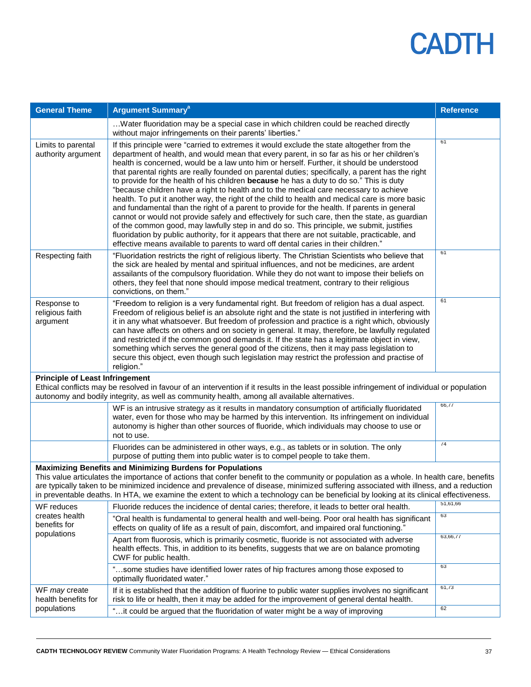| <b>General Theme</b>                                                                                                                                                                                                                                                                                                                                                                                                                                                                             | <b>Argument Summary<sup>a</sup></b>                                                                                                                                                                                                                                                                                                                                                                                                                                                                                                                                                                                                                                                                                                                                                                                                                                                                                                                                                                                                                                                                                                                                 | <b>Reference</b> |
|--------------------------------------------------------------------------------------------------------------------------------------------------------------------------------------------------------------------------------------------------------------------------------------------------------------------------------------------------------------------------------------------------------------------------------------------------------------------------------------------------|---------------------------------------------------------------------------------------------------------------------------------------------------------------------------------------------------------------------------------------------------------------------------------------------------------------------------------------------------------------------------------------------------------------------------------------------------------------------------------------------------------------------------------------------------------------------------------------------------------------------------------------------------------------------------------------------------------------------------------------------------------------------------------------------------------------------------------------------------------------------------------------------------------------------------------------------------------------------------------------------------------------------------------------------------------------------------------------------------------------------------------------------------------------------|------------------|
|                                                                                                                                                                                                                                                                                                                                                                                                                                                                                                  | Water fluoridation may be a special case in which children could be reached directly<br>without major infringements on their parents' liberties."                                                                                                                                                                                                                                                                                                                                                                                                                                                                                                                                                                                                                                                                                                                                                                                                                                                                                                                                                                                                                   |                  |
| Limits to parental<br>authority argument                                                                                                                                                                                                                                                                                                                                                                                                                                                         | If this principle were "carried to extremes it would exclude the state altogether from the<br>department of health, and would mean that every parent, in so far as his or her children's<br>health is concerned, would be a law unto him or herself. Further, it should be understood<br>that parental rights are really founded on parental duties; specifically, a parent has the right<br>to provide for the health of his children because he has a duty to do so." This is duty<br>"because children have a right to health and to the medical care necessary to achieve<br>health. To put it another way, the right of the child to health and medical care is more basic<br>and fundamental than the right of a parent to provide for the health. If parents in general<br>cannot or would not provide safely and effectively for such care, then the state, as guardian<br>of the common good, may lawfully step in and do so. This principle, we submit, justifies<br>fluoridation by public authority, for it appears that there are not suitable, practicable, and<br>effective means available to parents to ward off dental caries in their children." | 61               |
| Respecting faith                                                                                                                                                                                                                                                                                                                                                                                                                                                                                 | "Fluoridation restricts the right of religious liberty. The Christian Scientists who believe that<br>the sick are healed by mental and spiritual influences, and not be medicines, are ardent<br>assailants of the compulsory fluoridation. While they do not want to impose their beliefs on<br>others, they feel that none should impose medical treatment, contrary to their religious<br>convictions, on them."                                                                                                                                                                                                                                                                                                                                                                                                                                                                                                                                                                                                                                                                                                                                                 | 61               |
| Response to<br>religious faith<br>argument                                                                                                                                                                                                                                                                                                                                                                                                                                                       | "Freedom to religion is a very fundamental right. But freedom of religion has a dual aspect.<br>Freedom of religious belief is an absolute right and the state is not justified in interfering with<br>it in any what whatsoever. But freedom of profession and practice is a right which, obviously<br>can have affects on others and on society in general. It may, therefore, be lawfully regulated<br>and restricted if the common good demands it. If the state has a legitimate object in view,<br>something which serves the general good of the citizens, then it may pass legislation to<br>secure this object, even though such legislation may restrict the profession and practise of<br>religion."                                                                                                                                                                                                                                                                                                                                                                                                                                                     | 61               |
| <b>Principle of Least Infringement</b><br>Ethical conflicts may be resolved in favour of an intervention if it results in the least possible infringement of individual or population<br>autonomy and bodily integrity, as well as community health, among all available alternatives.                                                                                                                                                                                                           |                                                                                                                                                                                                                                                                                                                                                                                                                                                                                                                                                                                                                                                                                                                                                                                                                                                                                                                                                                                                                                                                                                                                                                     |                  |
|                                                                                                                                                                                                                                                                                                                                                                                                                                                                                                  | WF is an intrusive strategy as it results in mandatory consumption of artificially fluoridated<br>water, even for those who may be harmed by this intervention. Its infringement on individual<br>autonomy is higher than other sources of fluoride, which individuals may choose to use or<br>not to use.                                                                                                                                                                                                                                                                                                                                                                                                                                                                                                                                                                                                                                                                                                                                                                                                                                                          | 66,77            |
|                                                                                                                                                                                                                                                                                                                                                                                                                                                                                                  | Fluorides can be administered in other ways, e.g., as tablets or in solution. The only<br>purpose of putting them into public water is to compel people to take them.                                                                                                                                                                                                                                                                                                                                                                                                                                                                                                                                                                                                                                                                                                                                                                                                                                                                                                                                                                                               | 74               |
| <b>Maximizing Benefits and Minimizing Burdens for Populations</b><br>This value articulates the importance of actions that confer benefit to the community or population as a whole. In health care, benefits<br>are typically taken to be minimized incidence and prevalence of disease, minimized suffering associated with illness, and a reduction<br>in preventable deaths. In HTA, we examine the extent to which a technology can be beneficial by looking at its clinical effectiveness. |                                                                                                                                                                                                                                                                                                                                                                                                                                                                                                                                                                                                                                                                                                                                                                                                                                                                                                                                                                                                                                                                                                                                                                     |                  |
| WF reduces                                                                                                                                                                                                                                                                                                                                                                                                                                                                                       | Fluoride reduces the incidence of dental caries; therefore, it leads to better oral health.                                                                                                                                                                                                                                                                                                                                                                                                                                                                                                                                                                                                                                                                                                                                                                                                                                                                                                                                                                                                                                                                         | 51,61,66         |
| creates health<br>benefits for                                                                                                                                                                                                                                                                                                                                                                                                                                                                   | "Oral health is fundamental to general health and well-being. Poor oral health has significant<br>effects on quality of life as a result of pain, discomfort, and impaired oral functioning."                                                                                                                                                                                                                                                                                                                                                                                                                                                                                                                                                                                                                                                                                                                                                                                                                                                                                                                                                                       | 63               |
| populations                                                                                                                                                                                                                                                                                                                                                                                                                                                                                      | Apart from fluorosis, which is primarily cosmetic, fluoride is not associated with adverse<br>health effects. This, in addition to its benefits, suggests that we are on balance promoting<br>CWF for public health.                                                                                                                                                                                                                                                                                                                                                                                                                                                                                                                                                                                                                                                                                                                                                                                                                                                                                                                                                | 63,66,77         |
|                                                                                                                                                                                                                                                                                                                                                                                                                                                                                                  | "some studies have identified lower rates of hip fractures among those exposed to<br>optimally fluoridated water."                                                                                                                                                                                                                                                                                                                                                                                                                                                                                                                                                                                                                                                                                                                                                                                                                                                                                                                                                                                                                                                  | 63               |
| WF may create<br>health benefits for<br>populations                                                                                                                                                                                                                                                                                                                                                                                                                                              | If it is established that the addition of fluorine to public water supplies involves no significant<br>risk to life or health, then it may be added for the improvement of general dental health.                                                                                                                                                                                                                                                                                                                                                                                                                                                                                                                                                                                                                                                                                                                                                                                                                                                                                                                                                                   | 61,73            |
|                                                                                                                                                                                                                                                                                                                                                                                                                                                                                                  | "it could be argued that the fluoridation of water might be a way of improving                                                                                                                                                                                                                                                                                                                                                                                                                                                                                                                                                                                                                                                                                                                                                                                                                                                                                                                                                                                                                                                                                      | 62               |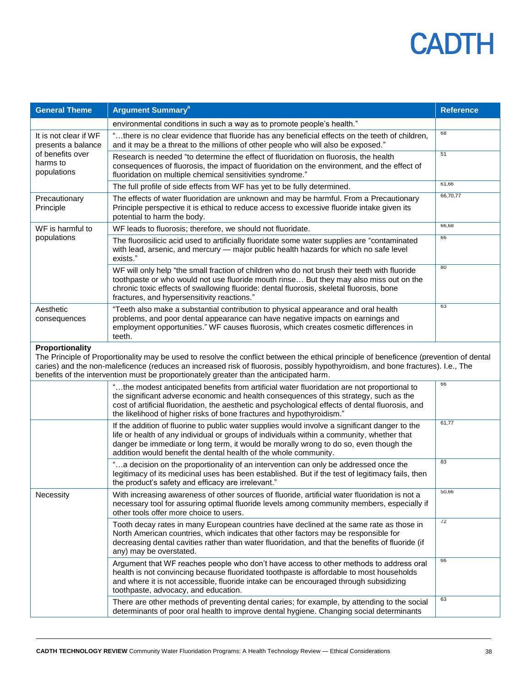| <b>General Theme</b>                                                                                                                                                                                                                                                                                                                                                                      | <b>Argument Summary<sup>a</sup></b>                                                                                                                                                                                                                                                                                                                                 | <b>Reference</b> |
|-------------------------------------------------------------------------------------------------------------------------------------------------------------------------------------------------------------------------------------------------------------------------------------------------------------------------------------------------------------------------------------------|---------------------------------------------------------------------------------------------------------------------------------------------------------------------------------------------------------------------------------------------------------------------------------------------------------------------------------------------------------------------|------------------|
|                                                                                                                                                                                                                                                                                                                                                                                           | environmental conditions in such a way as to promote people's health."                                                                                                                                                                                                                                                                                              |                  |
| It is not clear if WF<br>presents a balance<br>of benefits over<br>harms to<br>populations                                                                                                                                                                                                                                                                                                | "there is no clear evidence that fluoride has any beneficial effects on the teeth of children,<br>and it may be a threat to the millions of other people who will also be exposed."                                                                                                                                                                                 | 68               |
|                                                                                                                                                                                                                                                                                                                                                                                           | Research is needed "to determine the effect of fluoridation on fluorosis, the health<br>consequences of fluorosis, the impact of fluoridation on the environment, and the effect of<br>fluoridation on multiple chemical sensitivities syndrome."                                                                                                                   | 51               |
|                                                                                                                                                                                                                                                                                                                                                                                           | The full profile of side effects from WF has yet to be fully determined.                                                                                                                                                                                                                                                                                            | 61,66            |
| Precautionary<br>Principle                                                                                                                                                                                                                                                                                                                                                                | The effects of water fluoridation are unknown and may be harmful. From a Precautionary<br>Principle perspective it is ethical to reduce access to excessive fluoride intake given its<br>potential to harm the body.                                                                                                                                                | 66,70,77         |
| WF is harmful to                                                                                                                                                                                                                                                                                                                                                                          | WF leads to fluorosis; therefore, we should not fluoridate.                                                                                                                                                                                                                                                                                                         | 66,68            |
| populations                                                                                                                                                                                                                                                                                                                                                                               | The fluorosilicic acid used to artificially fluoridate some water supplies are "contaminated<br>with lead, arsenic, and mercury - major public health hazards for which no safe level<br>exists."                                                                                                                                                                   | 66               |
|                                                                                                                                                                                                                                                                                                                                                                                           | WF will only help "the small fraction of children who do not brush their teeth with fluoride<br>toothpaste or who would not use fluoride mouth rinse But they may also miss out on the<br>chronic toxic effects of swallowing fluoride: dental fluorosis, skeletal fluorosis, bone<br>fractures, and hypersensitivity reactions."                                   | 80               |
| Aesthetic<br>consequences                                                                                                                                                                                                                                                                                                                                                                 | "Teeth also make a substantial contribution to physical appearance and oral health<br>problems, and poor dental appearance can have negative impacts on earnings and<br>employment opportunities." WF causes fluorosis, which creates cosmetic differences in<br>teeth.                                                                                             | 63               |
| Proportionality<br>The Principle of Proportionality may be used to resolve the conflict between the ethical principle of beneficence (prevention of dental<br>caries) and the non-maleficence (reduces an increased risk of fluorosis, possibly hypothyroidism, and bone fractures). I.e., The<br>benefits of the intervention must be proportionately greater than the anticipated harm. |                                                                                                                                                                                                                                                                                                                                                                     |                  |
|                                                                                                                                                                                                                                                                                                                                                                                           | "the modest anticipated benefits from artificial water fluoridation are not proportional to<br>the significant adverse economic and health consequences of this strategy, such as the<br>cost of artificial fluoridation, the aesthetic and psychological effects of dental fluorosis, and<br>the likelihood of higher risks of bone fractures and hypothyroidism." | 66               |
|                                                                                                                                                                                                                                                                                                                                                                                           | If the addition of fluorine to public water supplies would involve a significant danger to the<br>life or health of any individual or groups of individuals within a community, whether that<br>danger be immediate or long term, it would be morally wrong to do so, even though the<br>addition would benefit the dental health of the whole community.           | 61,77            |
|                                                                                                                                                                                                                                                                                                                                                                                           | "a decision on the proportionality of an intervention can only be addressed once the<br>legitimacy of its medicinal uses has been established. But if the test of legitimacy fails, then<br>the product's safety and efficacy are irrelevant."                                                                                                                      | 83               |
| Necessity                                                                                                                                                                                                                                                                                                                                                                                 | With increasing awareness of other sources of fluoride, artificial water fluoridation is not a<br>necessary tool for assuring optimal fluoride levels among community members, especially if<br>other tools offer more choice to users.                                                                                                                             | 50,66            |
|                                                                                                                                                                                                                                                                                                                                                                                           | Tooth decay rates in many European countries have declined at the same rate as those in<br>North American countries, which indicates that other factors may be responsible for<br>decreasing dental cavities rather than water fluoridation, and that the benefits of fluoride (if<br>any) may be overstated.                                                       | 72               |
|                                                                                                                                                                                                                                                                                                                                                                                           | Argument that WF reaches people who don't have access to other methods to address oral<br>health is not convincing because fluoridated toothpaste is affordable to most households<br>and where it is not accessible, fluoride intake can be encouraged through subsidizing<br>toothpaste, advocacy, and education.                                                 | 66               |
|                                                                                                                                                                                                                                                                                                                                                                                           | There are other methods of preventing dental caries; for example, by attending to the social<br>determinants of poor oral health to improve dental hygiene. Changing social determinants                                                                                                                                                                            | 63               |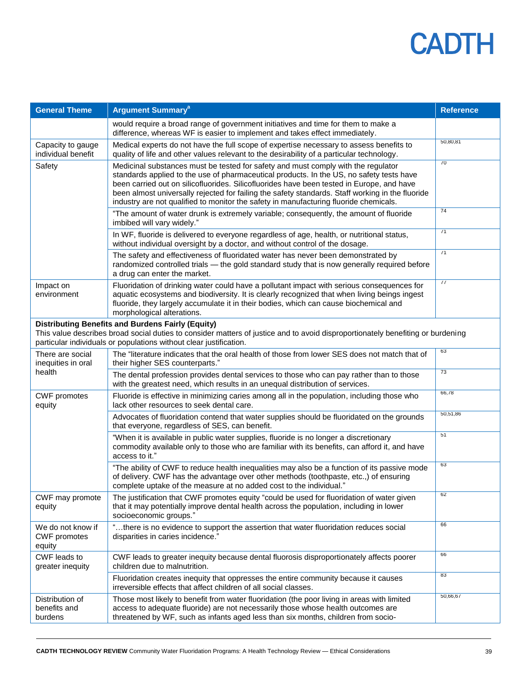

| <b>General Theme</b>                               | <b>Argument Summary<sup>a</sup></b>                                                                                                                                                                                                                                                                                                                                                                                                                                     | <b>Reference</b> |
|----------------------------------------------------|-------------------------------------------------------------------------------------------------------------------------------------------------------------------------------------------------------------------------------------------------------------------------------------------------------------------------------------------------------------------------------------------------------------------------------------------------------------------------|------------------|
|                                                    | would require a broad range of government initiatives and time for them to make a<br>difference, whereas WF is easier to implement and takes effect immediately.                                                                                                                                                                                                                                                                                                        |                  |
| Capacity to gauge<br>individual benefit            | Medical experts do not have the full scope of expertise necessary to assess benefits to<br>quality of life and other values relevant to the desirability of a particular technology.                                                                                                                                                                                                                                                                                    | 50,80,81         |
| Safety                                             | Medicinal substances must be tested for safety and must comply with the regulator<br>standards applied to the use of pharmaceutical products. In the US, no safety tests have<br>been carried out on silicofluorides. Silicofluorides have been tested in Europe, and have<br>been almost universally rejected for failing the safety standards. Staff working in the fluoride<br>industry are not qualified to monitor the safety in manufacturing fluoride chemicals. | 70               |
|                                                    | "The amount of water drunk is extremely variable; consequently, the amount of fluoride<br>imbibed will vary widely."                                                                                                                                                                                                                                                                                                                                                    | 74               |
|                                                    | In WF, fluoride is delivered to everyone regardless of age, health, or nutritional status,<br>without individual oversight by a doctor, and without control of the dosage.                                                                                                                                                                                                                                                                                              | 71               |
|                                                    | The safety and effectiveness of fluoridated water has never been demonstrated by<br>randomized controlled trials - the gold standard study that is now generally required before<br>a drug can enter the market.                                                                                                                                                                                                                                                        | 71               |
| Impact on<br>environment                           | Fluoridation of drinking water could have a pollutant impact with serious consequences for<br>aquatic ecosystems and biodiversity. It is clearly recognized that when living beings ingest<br>fluoride, they largely accumulate it in their bodies, which can cause biochemical and<br>morphological alterations.                                                                                                                                                       | 77               |
|                                                    | <b>Distributing Benefits and Burdens Fairly (Equity)</b><br>This value describes broad social duties to consider matters of justice and to avoid disproportionately benefiting or burdening<br>particular individuals or populations without clear justification.                                                                                                                                                                                                       |                  |
| There are social<br>inequities in oral             | The "literature indicates that the oral health of those from lower SES does not match that of<br>their higher SES counterparts."                                                                                                                                                                                                                                                                                                                                        | 63               |
| health                                             | The dental profession provides dental services to those who can pay rather than to those<br>with the greatest need, which results in an unequal distribution of services.                                                                                                                                                                                                                                                                                               | 73               |
| <b>CWF</b> promotes<br>equity                      | Fluoride is effective in minimizing caries among all in the population, including those who<br>lack other resources to seek dental care.                                                                                                                                                                                                                                                                                                                                | 66,78            |
|                                                    | Advocates of fluoridation contend that water supplies should be fluoridated on the grounds<br>that everyone, regardless of SES, can benefit.                                                                                                                                                                                                                                                                                                                            | 50,51,86         |
|                                                    | "When it is available in public water supplies, fluoride is no longer a discretionary<br>commodity available only to those who are familiar with its benefits, can afford it, and have<br>access to it."                                                                                                                                                                                                                                                                | 51               |
|                                                    | "The ability of CWF to reduce health inequalities may also be a function of its passive mode<br>of delivery. CWF has the advantage over other methods (toothpaste, etc.,) of ensuring<br>complete uptake of the measure at no added cost to the individual."                                                                                                                                                                                                            | 63               |
| CWF may promote<br>equity                          | The justification that CWF promotes equity "could be used for fluoridation of water given<br>that it may potentially improve dental health across the population, including in lower<br>socioeconomic groups."                                                                                                                                                                                                                                                          | 62               |
| We do not know if<br><b>CWF</b> promotes<br>equity | "there is no evidence to support the assertion that water fluoridation reduces social<br>disparities in caries incidence."                                                                                                                                                                                                                                                                                                                                              | 66               |
| CWF leads to<br>greater inequity                   | CWF leads to greater inequity because dental fluorosis disproportionately affects poorer<br>children due to malnutrition.                                                                                                                                                                                                                                                                                                                                               | 66               |
|                                                    | Fluoridation creates inequity that oppresses the entire community because it causes<br>irreversible effects that affect children of all social classes.                                                                                                                                                                                                                                                                                                                 | 83               |
| Distribution of<br>benefits and<br>burdens         | Those most likely to benefit from water fluoridation (the poor living in areas with limited<br>access to adequate fluoride) are not necessarily those whose health outcomes are<br>threatened by WF, such as infants aged less than six months, children from socio-                                                                                                                                                                                                    | 50,66,67         |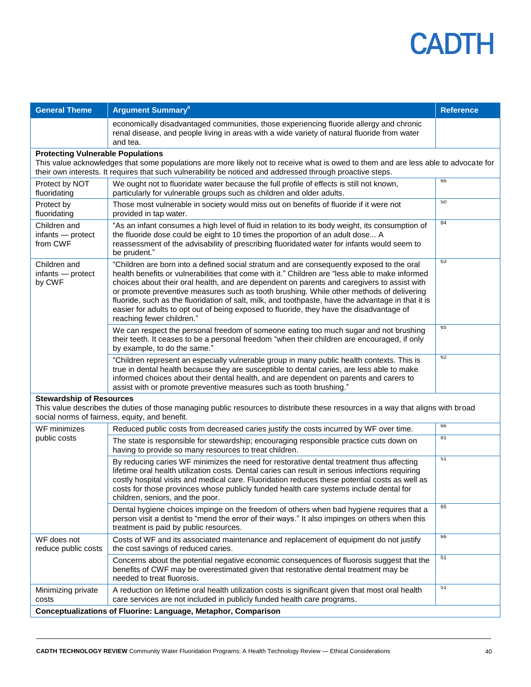

| <b>General Theme</b>                                           | <b>Argument Summary<sup>a</sup></b>                                                                                                                                                                                                                                                                                                                                                                                                                                                                                                                                                                                    | <b>Reference</b> |  |
|----------------------------------------------------------------|------------------------------------------------------------------------------------------------------------------------------------------------------------------------------------------------------------------------------------------------------------------------------------------------------------------------------------------------------------------------------------------------------------------------------------------------------------------------------------------------------------------------------------------------------------------------------------------------------------------------|------------------|--|
|                                                                | economically disadvantaged communities, those experiencing fluoride allergy and chronic<br>renal disease, and people living in areas with a wide variety of natural fluoride from water<br>and tea.                                                                                                                                                                                                                                                                                                                                                                                                                    |                  |  |
| <b>Protecting Vulnerable Populations</b>                       | This value acknowledges that some populations are more likely not to receive what is owed to them and are less able to advocate for<br>their own interests. It requires that such vulnerability be noticed and addressed through proactive steps.                                                                                                                                                                                                                                                                                                                                                                      |                  |  |
| Protect by NOT<br>fluoridating                                 | We ought not to fluoridate water because the full profile of effects is still not known,<br>particularly for vulnerable groups such as children and older adults.                                                                                                                                                                                                                                                                                                                                                                                                                                                      | 66               |  |
| Protect by<br>fluoridating                                     | Those most vulnerable in society would miss out on benefits of fluoride if it were not<br>provided in tap water.                                                                                                                                                                                                                                                                                                                                                                                                                                                                                                       | 50               |  |
| Children and<br>infants - protect<br>from CWF                  | "As an infant consumes a high level of fluid in relation to its body weight, its consumption of<br>the fluoride dose could be eight to 10 times the proportion of an adult dose A<br>reassessment of the advisability of prescribing fluoridated water for infants would seem to<br>be prudent."                                                                                                                                                                                                                                                                                                                       | 84               |  |
| Children and<br>infants - protect<br>by CWF                    | "Children are born into a defined social stratum and are consequently exposed to the oral<br>health benefits or vulnerabilities that come with it." Children are "less able to make informed<br>choices about their oral health, and are dependent on parents and caregivers to assist with<br>or promote preventive measures such as tooth brushing. While other methods of delivering<br>fluoride, such as the fluoridation of salt, milk, and toothpaste, have the advantage in that it is<br>easier for adults to opt out of being exposed to fluoride, they have the disadvantage of<br>reaching fewer children." | 63               |  |
|                                                                | We can respect the personal freedom of someone eating too much sugar and not brushing<br>their teeth. It ceases to be a personal freedom "when their children are encouraged, if only<br>by example, to do the same."                                                                                                                                                                                                                                                                                                                                                                                                  | 65               |  |
|                                                                | "Children represent an especially vulnerable group in many public health contexts. This is<br>true in dental health because they are susceptible to dental caries, are less able to make<br>informed choices about their dental health, and are dependent on parents and carers to<br>assist with or promote preventive measures such as tooth brushing."                                                                                                                                                                                                                                                              | 62               |  |
| <b>Stewardship of Resources</b>                                | This value describes the duties of those managing public resources to distribute these resources in a way that aligns with broad<br>social norms of fairness, equity, and benefit.                                                                                                                                                                                                                                                                                                                                                                                                                                     |                  |  |
| WF minimizes                                                   | Reduced public costs from decreased caries justify the costs incurred by WF over time.                                                                                                                                                                                                                                                                                                                                                                                                                                                                                                                                 | 66               |  |
| public costs                                                   | The state is responsible for stewardship; encouraging responsible practice cuts down on<br>having to provide so many resources to treat children.                                                                                                                                                                                                                                                                                                                                                                                                                                                                      | 81               |  |
|                                                                | By reducing caries WF minimizes the need for restorative dental treatment thus affecting<br>lifetime oral health utilization costs. Dental caries can result in serious infections requiring<br>costly hospital visits and medical care. Fluoridation reduces these potential costs as well as<br>costs for those provinces whose publicly funded health care systems include dental for<br>children, seniors, and the poor.                                                                                                                                                                                           | 51               |  |
|                                                                | Dental hygiene choices impinge on the freedom of others when bad hygiene requires that a<br>person visit a dentist to "mend the error of their ways." It also impinges on others when this<br>treatment is paid by public resources.                                                                                                                                                                                                                                                                                                                                                                                   | 65               |  |
| WF does not<br>reduce public costs                             | Costs of WF and its associated maintenance and replacement of equipment do not justify<br>the cost savings of reduced caries.                                                                                                                                                                                                                                                                                                                                                                                                                                                                                          | 66               |  |
|                                                                | Concerns about the potential negative economic consequences of fluorosis suggest that the<br>benefits of CWF may be overestimated given that restorative dental treatment may be<br>needed to treat fluorosis.                                                                                                                                                                                                                                                                                                                                                                                                         | 51               |  |
| Minimizing private<br>costs                                    | A reduction on lifetime oral health utilization costs is significant given that most oral health<br>care services are not included in publicly funded health care programs.                                                                                                                                                                                                                                                                                                                                                                                                                                            | 51               |  |
| Conceptualizations of Fluorine: Language, Metaphor, Comparison |                                                                                                                                                                                                                                                                                                                                                                                                                                                                                                                                                                                                                        |                  |  |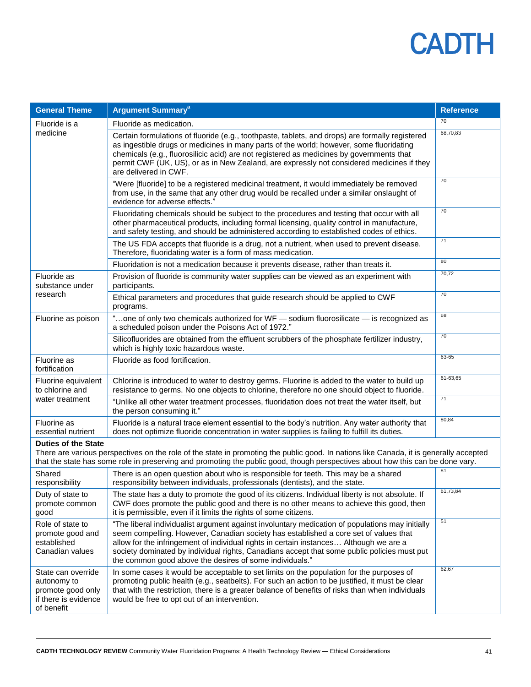

| <b>General Theme</b>                                                                                                                                                                                                                                                                                   | <b>Argument Summary<sup>a</sup></b>                                                                                                                                                                                                                                                                                                                                                                                                         | <b>Reference</b> |
|--------------------------------------------------------------------------------------------------------------------------------------------------------------------------------------------------------------------------------------------------------------------------------------------------------|---------------------------------------------------------------------------------------------------------------------------------------------------------------------------------------------------------------------------------------------------------------------------------------------------------------------------------------------------------------------------------------------------------------------------------------------|------------------|
| Fluoride is a                                                                                                                                                                                                                                                                                          | Fluoride as medication.                                                                                                                                                                                                                                                                                                                                                                                                                     | 70               |
| medicine                                                                                                                                                                                                                                                                                               | Certain formulations of fluoride (e.g., toothpaste, tablets, and drops) are formally registered<br>as ingestible drugs or medicines in many parts of the world; however, some fluoridating<br>chemicals (e.g., fluorosilicic acid) are not registered as medicines by governments that<br>permit CWF (UK, US), or as in New Zealand, are expressly not considered medicines if they<br>are delivered in CWF.                                | 68,70,83         |
|                                                                                                                                                                                                                                                                                                        | "Were [fluoride] to be a registered medicinal treatment, it would immediately be removed<br>from use, in the same that any other drug would be recalled under a similar onslaught of<br>evidence for adverse effects."                                                                                                                                                                                                                      | 70               |
|                                                                                                                                                                                                                                                                                                        | Fluoridating chemicals should be subject to the procedures and testing that occur with all<br>other pharmaceutical products, including formal licensing, quality control in manufacture,<br>and safety testing, and should be administered according to established codes of ethics.                                                                                                                                                        | 70               |
|                                                                                                                                                                                                                                                                                                        | The US FDA accepts that fluoride is a drug, not a nutrient, when used to prevent disease.<br>Therefore, fluoridating water is a form of mass medication.                                                                                                                                                                                                                                                                                    | 71               |
|                                                                                                                                                                                                                                                                                                        | Fluoridation is not a medication because it prevents disease, rather than treats it.                                                                                                                                                                                                                                                                                                                                                        | 80               |
| Fluoride as<br>substance under                                                                                                                                                                                                                                                                         | Provision of fluoride is community water supplies can be viewed as an experiment with<br>participants.                                                                                                                                                                                                                                                                                                                                      | 70,72            |
| research                                                                                                                                                                                                                                                                                               | Ethical parameters and procedures that guide research should be applied to CWF<br>programs.                                                                                                                                                                                                                                                                                                                                                 | 70               |
| Fluorine as poison                                                                                                                                                                                                                                                                                     | "one of only two chemicals authorized for WF - sodium fluorosilicate - is recognized as<br>a scheduled poison under the Poisons Act of 1972."                                                                                                                                                                                                                                                                                               | 68               |
|                                                                                                                                                                                                                                                                                                        | Silicofluorides are obtained from the effluent scrubbers of the phosphate fertilizer industry,<br>which is highly toxic hazardous waste.                                                                                                                                                                                                                                                                                                    | 70               |
| Fluorine as<br>fortification                                                                                                                                                                                                                                                                           | Fluoride as food fortification.                                                                                                                                                                                                                                                                                                                                                                                                             | 63-65            |
| Fluorine equivalent<br>to chlorine and                                                                                                                                                                                                                                                                 | Chlorine is introduced to water to destroy germs. Fluorine is added to the water to build up<br>resistance to germs. No one objects to chlorine, therefore no one should object to fluoride.                                                                                                                                                                                                                                                | 61-63,65         |
| water treatment                                                                                                                                                                                                                                                                                        | "Unlike all other water treatment processes, fluoridation does not treat the water itself, but<br>the person consuming it."                                                                                                                                                                                                                                                                                                                 | 71               |
| Fluorine as<br>essential nutrient                                                                                                                                                                                                                                                                      | Fluoride is a natural trace element essential to the body's nutrition. Any water authority that<br>does not optimize fluoride concentration in water supplies is failing to fulfill its duties.                                                                                                                                                                                                                                             | 80,84            |
| <b>Duties of the State</b><br>There are various perspectives on the role of the state in promoting the public good. In nations like Canada, it is generally accepted<br>that the state has some role in preserving and promoting the public good, though perspectives about how this can be done vary. |                                                                                                                                                                                                                                                                                                                                                                                                                                             |                  |
| Shared<br>responsibility                                                                                                                                                                                                                                                                               | There is an open question about who is responsible for teeth. This may be a shared<br>responsibility between individuals, professionals (dentists), and the state.                                                                                                                                                                                                                                                                          | 81               |
| Duty of state to<br>promote common<br>good                                                                                                                                                                                                                                                             | The state has a duty to promote the good of its citizens. Individual liberty is not absolute. If<br>CWF does promote the public good and there is no other means to achieve this good, then<br>it is permissible, even if it limits the rights of some citizens.                                                                                                                                                                            | 61,73,84         |
| Role of state to<br>promote good and<br>established<br>Canadian values                                                                                                                                                                                                                                 | "The liberal individualist argument against involuntary medication of populations may initially<br>seem compelling. However, Canadian society has established a core set of values that<br>allow for the infringement of individual rights in certain instances Although we are a<br>society dominated by individual rights, Canadians accept that some public policies must put<br>the common good above the desires of some individuals." | 51               |
| State can override<br>autonomy to<br>promote good only<br>if there is evidence<br>of benefit                                                                                                                                                                                                           | In some cases it would be acceptable to set limits on the population for the purposes of<br>promoting public health (e.g., seatbelts). For such an action to be justified, it must be clear<br>that with the restriction, there is a greater balance of benefits of risks than when individuals<br>would be free to opt out of an intervention.                                                                                             | 62,67            |